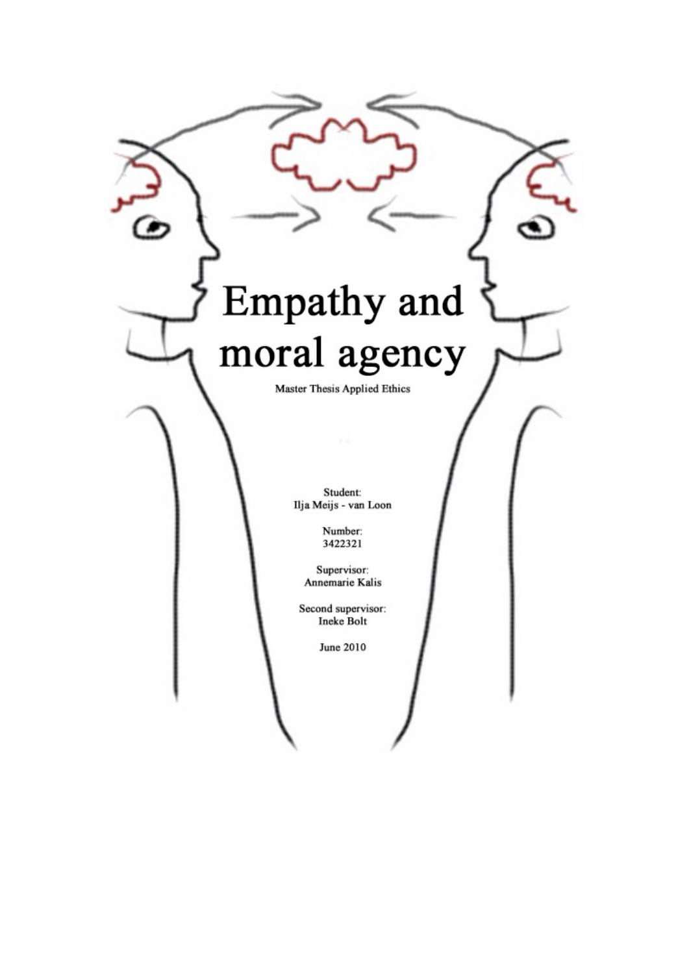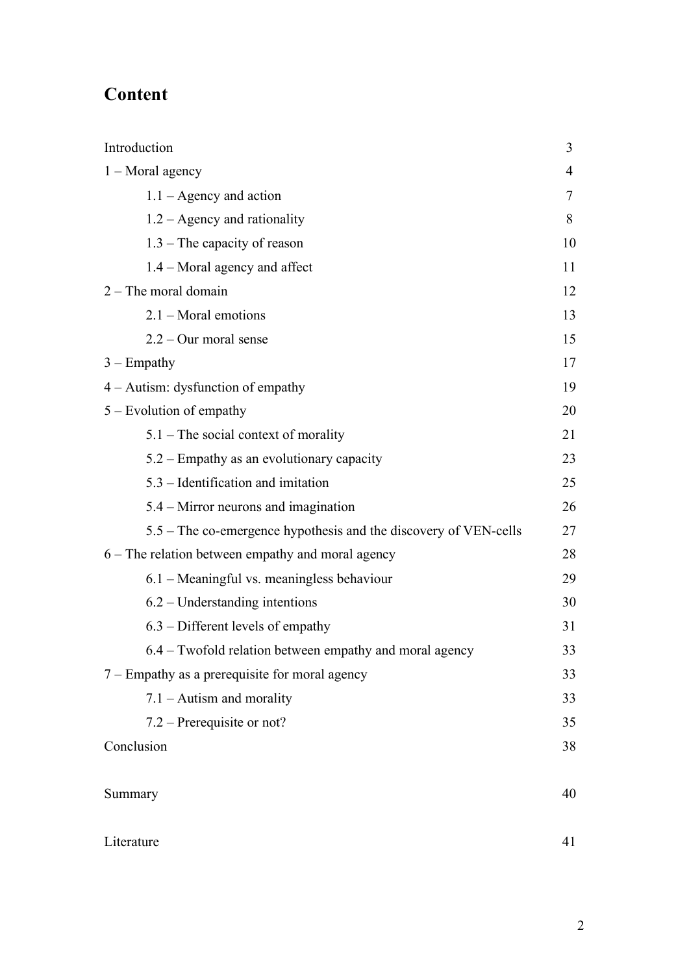# **Content**

| Introduction                                                     | $\overline{3}$ |  |
|------------------------------------------------------------------|----------------|--|
| $1 -$ Moral agency                                               |                |  |
| $1.1 - \text{Agency}$ and action                                 | 7              |  |
| $1.2 -$ Agency and rationality                                   | 8              |  |
| $1.3$ – The capacity of reason                                   | 10             |  |
| 1.4 – Moral agency and affect                                    | 11             |  |
| $2$ – The moral domain                                           | 12             |  |
| $2.1 -$ Moral emotions                                           | 13             |  |
| $2.2 -$ Our moral sense                                          | 15             |  |
| $3 -$ Empathy                                                    | 17             |  |
| 4 – Autism: dysfunction of empathy                               | 19             |  |
| $5 -$ Evolution of empathy                                       | 20             |  |
| $5.1$ – The social context of morality                           | 21             |  |
| 5.2 – Empathy as an evolutionary capacity                        | 23             |  |
| 5.3 – Identification and imitation                               | 25             |  |
| 5.4 – Mirror neurons and imagination                             | 26             |  |
| 5.5 – The co-emergence hypothesis and the discovery of VEN-cells | 27             |  |
| 6 – The relation between empathy and moral agency                |                |  |
| $6.1$ – Meaningful vs. meaningless behaviour                     | 29             |  |
| $6.2$ – Understanding intentions                                 | 30             |  |
| $6.3$ – Different levels of empathy                              | 31             |  |
| 6.4 – Twofold relation between empathy and moral agency          | 33             |  |
| 7 – Empathy as a prerequisite for moral agency                   | 33             |  |
| $7.1 -$ Autism and morality                                      | 33             |  |
| 7.2 – Prerequisite or not?                                       | 35             |  |
| Conclusion                                                       |                |  |
|                                                                  |                |  |
| Summary                                                          | 40             |  |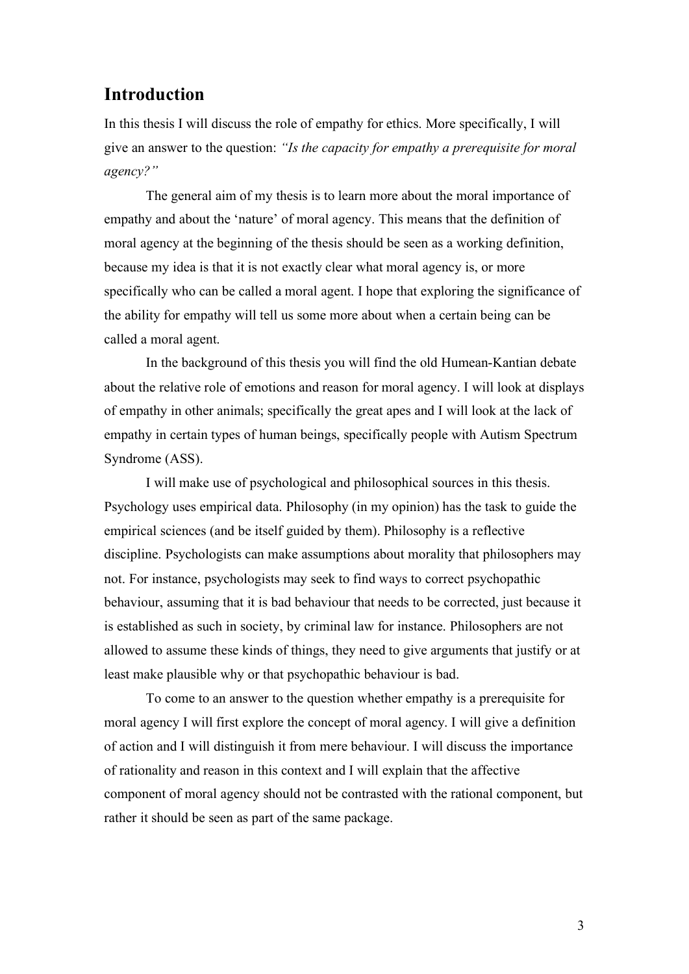## **Introduction**

In this thesis I will discuss the role of empathy for ethics. More specifically, I will give an answer to the question: *"Is the capacity for empathy a prerequisite for moral agency?"*

The general aim of my thesis is to learn more about the moral importance of empathy and about the 'nature' of moral agency. This means that the definition of moral agency at the beginning of the thesis should be seen as a working definition, because my idea is that it is not exactly clear what moral agency is, or more specifically who can be called a moral agent. I hope that exploring the significance of the ability for empathy will tell us some more about when a certain being can be called a moral agent.

In the background of this thesis you will find the old Humean-Kantian debate about the relative role of emotions and reason for moral agency. I will look at displays of empathy in other animals; specifically the great apes and I will look at the lack of empathy in certain types of human beings, specifically people with Autism Spectrum Syndrome (ASS).

I will make use of psychological and philosophical sources in this thesis. Psychology uses empirical data. Philosophy (in my opinion) has the task to guide the empirical sciences (and be itself guided by them). Philosophy is a reflective discipline. Psychologists can make assumptions about morality that philosophers may not. For instance, psychologists may seek to find ways to correct psychopathic behaviour, assuming that it is bad behaviour that needs to be corrected, just because it is established as such in society, by criminal law for instance. Philosophers are not allowed to assume these kinds of things, they need to give arguments that justify or at least make plausible why or that psychopathic behaviour is bad.

To come to an answer to the question whether empathy is a prerequisite for moral agency I will first explore the concept of moral agency. I will give a definition of action and I will distinguish it from mere behaviour. I will discuss the importance of rationality and reason in this context and I will explain that the affective component of moral agency should not be contrasted with the rational component, but rather it should be seen as part of the same package.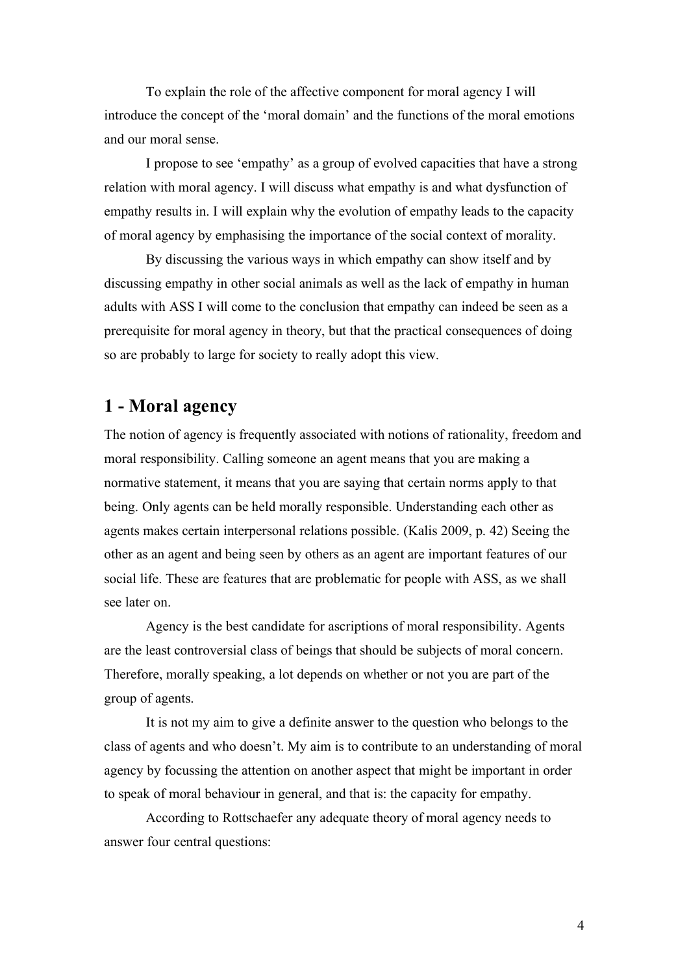To explain the role of the affective component for moral agency I will introduce the concept of the 'moral domain' and the functions of the moral emotions and our moral sense.

I propose to see 'empathy' as a group of evolved capacities that have a strong relation with moral agency. I will discuss what empathy is and what dysfunction of empathy results in. I will explain why the evolution of empathy leads to the capacity of moral agency by emphasising the importance of the social context of morality.

By discussing the various ways in which empathy can show itself and by discussing empathy in other social animals as well as the lack of empathy in human adults with ASS I will come to the conclusion that empathy can indeed be seen as a prerequisite for moral agency in theory, but that the practical consequences of doing so are probably to large for society to really adopt this view.

# **1 - Moral agency**

The notion of agency is frequently associated with notions of rationality, freedom and moral responsibility. Calling someone an agent means that you are making a normative statement, it means that you are saying that certain norms apply to that being. Only agents can be held morally responsible. Understanding each other as agents makes certain interpersonal relations possible. (Kalis 2009, p. 42) Seeing the other as an agent and being seen by others as an agent are important features of our social life. These are features that are problematic for people with ASS, as we shall see later on.

Agency is the best candidate for ascriptions of moral responsibility. Agents are the least controversial class of beings that should be subjects of moral concern. Therefore, morally speaking, a lot depends on whether or not you are part of the group of agents.

It is not my aim to give a definite answer to the question who belongs to the class of agents and who doesn't. My aim is to contribute to an understanding of moral agency by focussing the attention on another aspect that might be important in order to speak of moral behaviour in general, and that is: the capacity for empathy.

According to Rottschaefer any adequate theory of moral agency needs to answer four central questions: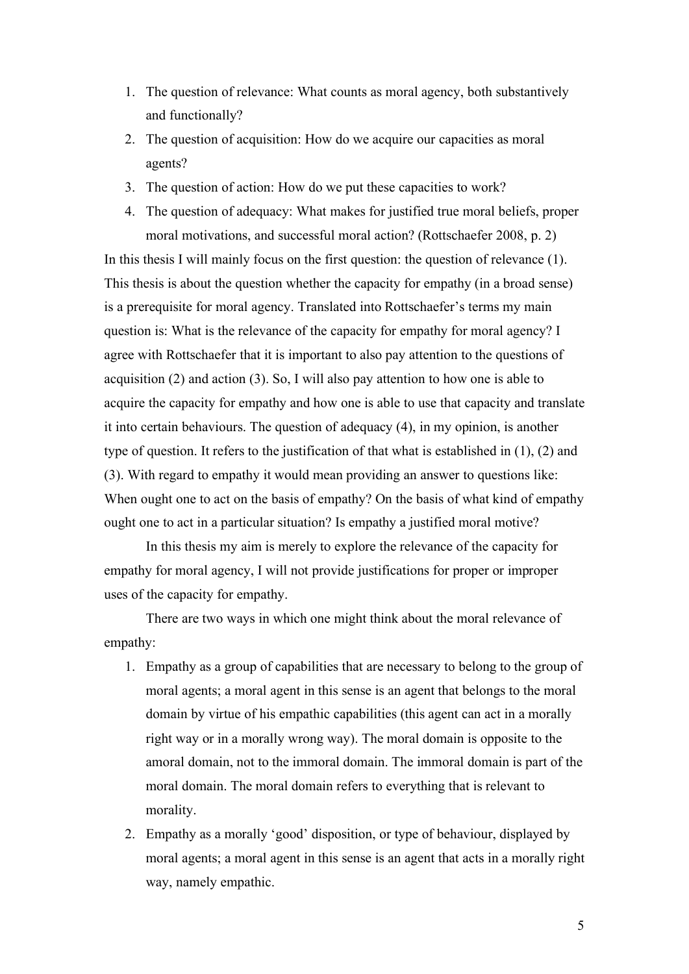- 1. The question of relevance: What counts as moral agency, both substantively and functionally?
- 2. The question of acquisition: How do we acquire our capacities as moral agents?
- 3. The question of action: How do we put these capacities to work?
- 4. The question of adequacy: What makes for justified true moral beliefs, proper moral motivations, and successful moral action? (Rottschaefer 2008, p. 2)

In this thesis I will mainly focus on the first question: the question of relevance (1). This thesis is about the question whether the capacity for empathy (in a broad sense) is a prerequisite for moral agency. Translated into Rottschaefer's terms my main question is: What is the relevance of the capacity for empathy for moral agency? I agree with Rottschaefer that it is important to also pay attention to the questions of acquisition (2) and action (3). So, I will also pay attention to how one is able to acquire the capacity for empathy and how one is able to use that capacity and translate it into certain behaviours. The question of adequacy (4), in my opinion, is another type of question. It refers to the justification of that what is established in (1), (2) and (3). With regard to empathy it would mean providing an answer to questions like: When ought one to act on the basis of empathy? On the basis of what kind of empathy ought one to act in a particular situation? Is empathy a justified moral motive?

In this thesis my aim is merely to explore the relevance of the capacity for empathy for moral agency, I will not provide justifications for proper or improper uses of the capacity for empathy.

There are two ways in which one might think about the moral relevance of empathy:

- 1. Empathy as a group of capabilities that are necessary to belong to the group of moral agents; a moral agent in this sense is an agent that belongs to the moral domain by virtue of his empathic capabilities (this agent can act in a morally right way or in a morally wrong way). The moral domain is opposite to the amoral domain, not to the immoral domain. The immoral domain is part of the moral domain. The moral domain refers to everything that is relevant to morality.
- 2. Empathy as a morally 'good' disposition, or type of behaviour, displayed by moral agents; a moral agent in this sense is an agent that acts in a morally right way, namely empathic.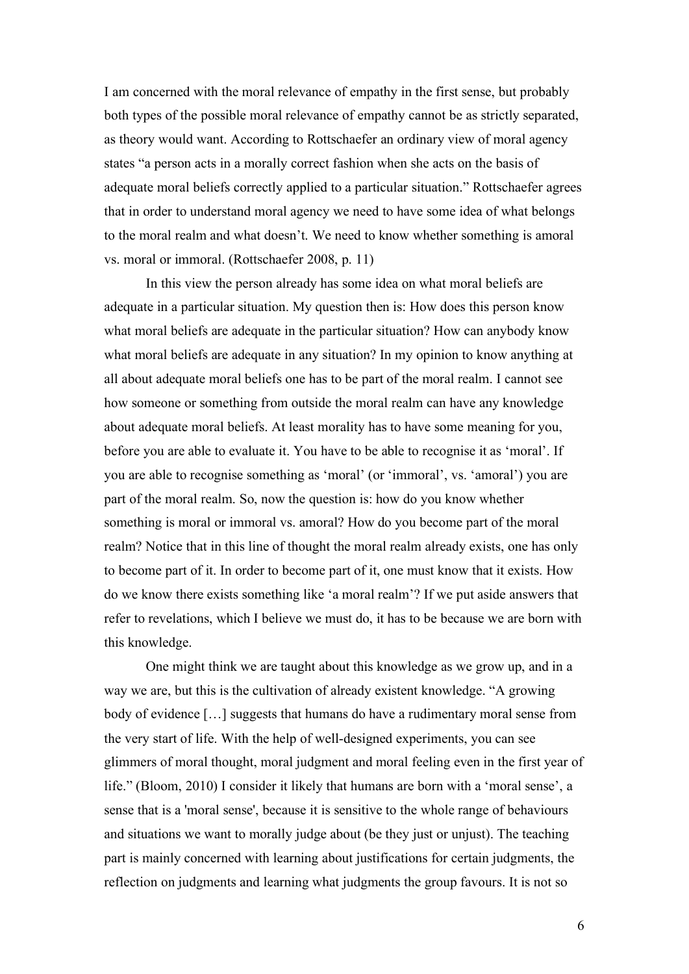I am concerned with the moral relevance of empathy in the first sense, but probably both types of the possible moral relevance of empathy cannot be as strictly separated, as theory would want. According to Rottschaefer an ordinary view of moral agency states "a person acts in a morally correct fashion when she acts on the basis of adequate moral beliefs correctly applied to a particular situation." Rottschaefer agrees that in order to understand moral agency we need to have some idea of what belongs to the moral realm and what doesn't. We need to know whether something is amoral vs. moral or immoral. (Rottschaefer 2008, p. 11)

In this view the person already has some idea on what moral beliefs are adequate in a particular situation. My question then is: How does this person know what moral beliefs are adequate in the particular situation? How can anybody know what moral beliefs are adequate in any situation? In my opinion to know anything at all about adequate moral beliefs one has to be part of the moral realm. I cannot see how someone or something from outside the moral realm can have any knowledge about adequate moral beliefs. At least morality has to have some meaning for you, before you are able to evaluate it. You have to be able to recognise it as 'moral'. If you are able to recognise something as 'moral' (or 'immoral', vs. 'amoral') you are part of the moral realm. So, now the question is: how do you know whether something is moral or immoral vs. amoral? How do you become part of the moral realm? Notice that in this line of thought the moral realm already exists, one has only to become part of it. In order to become part of it, one must know that it exists. How do we know there exists something like 'a moral realm'? If we put aside answers that refer to revelations, which I believe we must do, it has to be because we are born with this knowledge.

One might think we are taught about this knowledge as we grow up, and in a way we are, but this is the cultivation of already existent knowledge. "A growing body of evidence […] suggests that humans do have a rudimentary moral sense from the very start of life. With the help of well-designed experiments, you can see glimmers of moral thought, moral judgment and moral feeling even in the first year of life." (Bloom, 2010) I consider it likely that humans are born with a 'moral sense', a sense that is a 'moral sense', because it is sensitive to the whole range of behaviours and situations we want to morally judge about (be they just or unjust). The teaching part is mainly concerned with learning about justifications for certain judgments, the reflection on judgments and learning what judgments the group favours. It is not so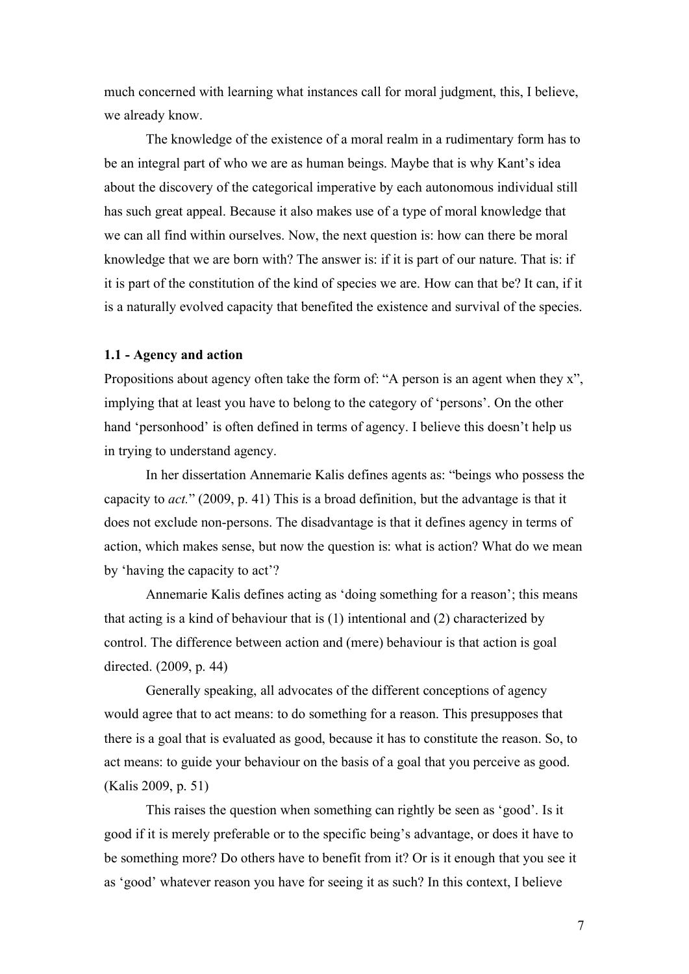much concerned with learning what instances call for moral judgment, this, I believe, we already know.

The knowledge of the existence of a moral realm in a rudimentary form has to be an integral part of who we are as human beings. Maybe that is why Kant's idea about the discovery of the categorical imperative by each autonomous individual still has such great appeal. Because it also makes use of a type of moral knowledge that we can all find within ourselves. Now, the next question is: how can there be moral knowledge that we are born with? The answer is: if it is part of our nature. That is: if it is part of the constitution of the kind of species we are. How can that be? It can, if it is a naturally evolved capacity that benefited the existence and survival of the species.

#### **1.1 - Agency and action**

Propositions about agency often take the form of: "A person is an agent when they x", implying that at least you have to belong to the category of 'persons'. On the other hand 'personhood' is often defined in terms of agency. I believe this doesn't help us in trying to understand agency.

In her dissertation Annemarie Kalis defines agents as: "beings who possess the capacity to *act.*" (2009, p. 41) This is a broad definition, but the advantage is that it does not exclude non-persons. The disadvantage is that it defines agency in terms of action, which makes sense, but now the question is: what is action? What do we mean by 'having the capacity to act'?

Annemarie Kalis defines acting as 'doing something for a reason'; this means that acting is a kind of behaviour that is (1) intentional and (2) characterized by control. The difference between action and (mere) behaviour is that action is goal directed. (2009, p. 44)

Generally speaking, all advocates of the different conceptions of agency would agree that to act means: to do something for a reason. This presupposes that there is a goal that is evaluated as good, because it has to constitute the reason. So, to act means: to guide your behaviour on the basis of a goal that you perceive as good. (Kalis 2009, p. 51)

This raises the question when something can rightly be seen as 'good'. Is it good if it is merely preferable or to the specific being's advantage, or does it have to be something more? Do others have to benefit from it? Or is it enough that you see it as 'good' whatever reason you have for seeing it as such? In this context, I believe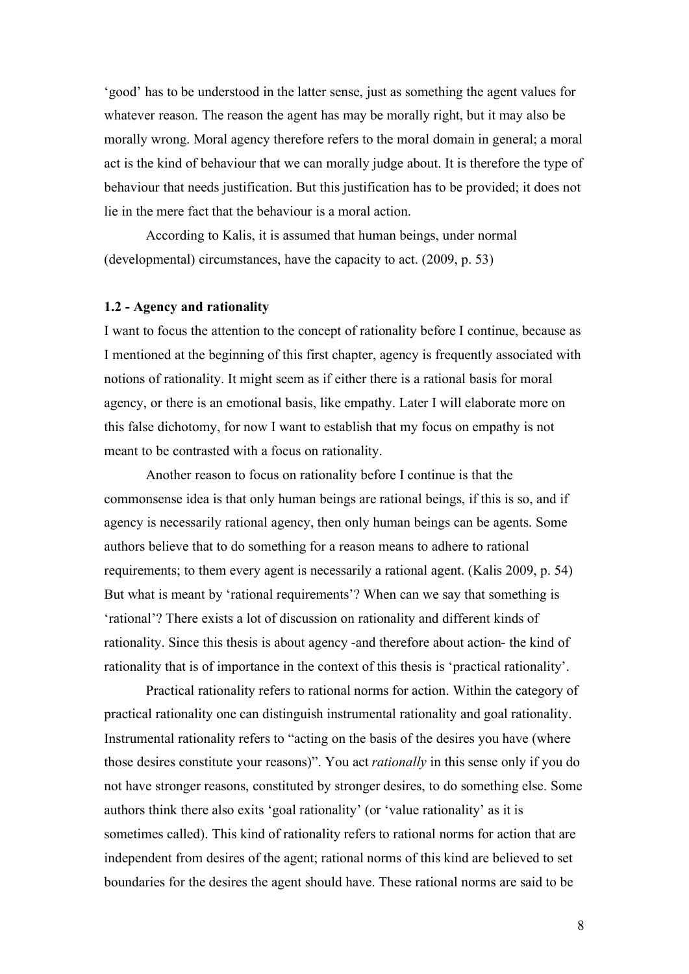'good' has to be understood in the latter sense, just as something the agent values for whatever reason. The reason the agent has may be morally right, but it may also be morally wrong. Moral agency therefore refers to the moral domain in general; a moral act is the kind of behaviour that we can morally judge about. It is therefore the type of behaviour that needs justification. But this justification has to be provided; it does not lie in the mere fact that the behaviour is a moral action.

According to Kalis, it is assumed that human beings, under normal (developmental) circumstances, have the capacity to act. (2009, p. 53)

### **1.2 - Agency and rationality**

I want to focus the attention to the concept of rationality before I continue, because as I mentioned at the beginning of this first chapter, agency is frequently associated with notions of rationality. It might seem as if either there is a rational basis for moral agency, or there is an emotional basis, like empathy. Later I will elaborate more on this false dichotomy, for now I want to establish that my focus on empathy is not meant to be contrasted with a focus on rationality.

Another reason to focus on rationality before I continue is that the commonsense idea is that only human beings are rational beings, if this is so, and if agency is necessarily rational agency, then only human beings can be agents. Some authors believe that to do something for a reason means to adhere to rational requirements; to them every agent is necessarily a rational agent. (Kalis 2009, p. 54) But what is meant by 'rational requirements'? When can we say that something is 'rational'? There exists a lot of discussion on rationality and different kinds of rationality. Since this thesis is about agency -and therefore about action- the kind of rationality that is of importance in the context of this thesis is 'practical rationality'.

Practical rationality refers to rational norms for action. Within the category of practical rationality one can distinguish instrumental rationality and goal rationality. Instrumental rationality refers to "acting on the basis of the desires you have (where those desires constitute your reasons)". You act *rationally* in this sense only if you do not have stronger reasons, constituted by stronger desires, to do something else. Some authors think there also exits 'goal rationality' (or 'value rationality' as it is sometimes called). This kind of rationality refers to rational norms for action that are independent from desires of the agent; rational norms of this kind are believed to set boundaries for the desires the agent should have. These rational norms are said to be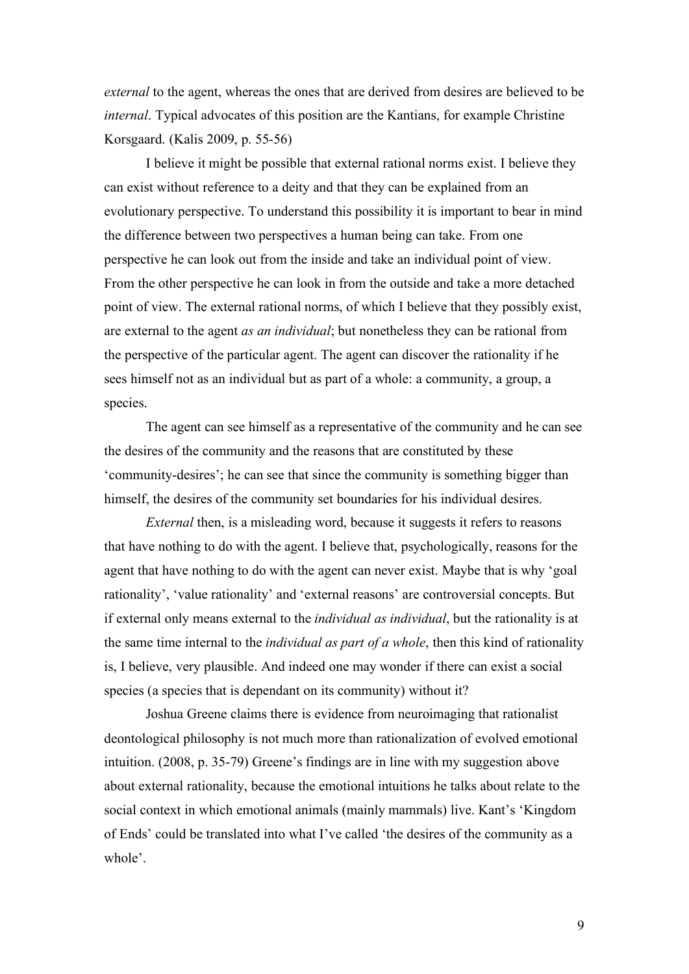*external* to the agent, whereas the ones that are derived from desires are believed to be *internal*. Typical advocates of this position are the Kantians, for example Christine Korsgaard. (Kalis 2009, p. 55-56)

I believe it might be possible that external rational norms exist. I believe they can exist without reference to a deity and that they can be explained from an evolutionary perspective. To understand this possibility it is important to bear in mind the difference between two perspectives a human being can take. From one perspective he can look out from the inside and take an individual point of view. From the other perspective he can look in from the outside and take a more detached point of view. The external rational norms, of which I believe that they possibly exist, are external to the agent *as an individual*; but nonetheless they can be rational from the perspective of the particular agent. The agent can discover the rationality if he sees himself not as an individual but as part of a whole: a community, a group, a species.

The agent can see himself as a representative of the community and he can see the desires of the community and the reasons that are constituted by these 'community-desires'; he can see that since the community is something bigger than himself, the desires of the community set boundaries for his individual desires.

*External* then, is a misleading word, because it suggests it refers to reasons that have nothing to do with the agent. I believe that, psychologically, reasons for the agent that have nothing to do with the agent can never exist. Maybe that is why 'goal rationality', 'value rationality' and 'external reasons' are controversial concepts. But if external only means external to the *individual as individual*, but the rationality is at the same time internal to the *individual as part of a whole*, then this kind of rationality is, I believe, very plausible. And indeed one may wonder if there can exist a social species (a species that is dependant on its community) without it?

Joshua Greene claims there is evidence from neuroimaging that rationalist deontological philosophy is not much more than rationalization of evolved emotional intuition. (2008, p. 35-79) Greene's findings are in line with my suggestion above about external rationality, because the emotional intuitions he talks about relate to the social context in which emotional animals (mainly mammals) live. Kant's 'Kingdom of Ends' could be translated into what I've called 'the desires of the community as a whole'.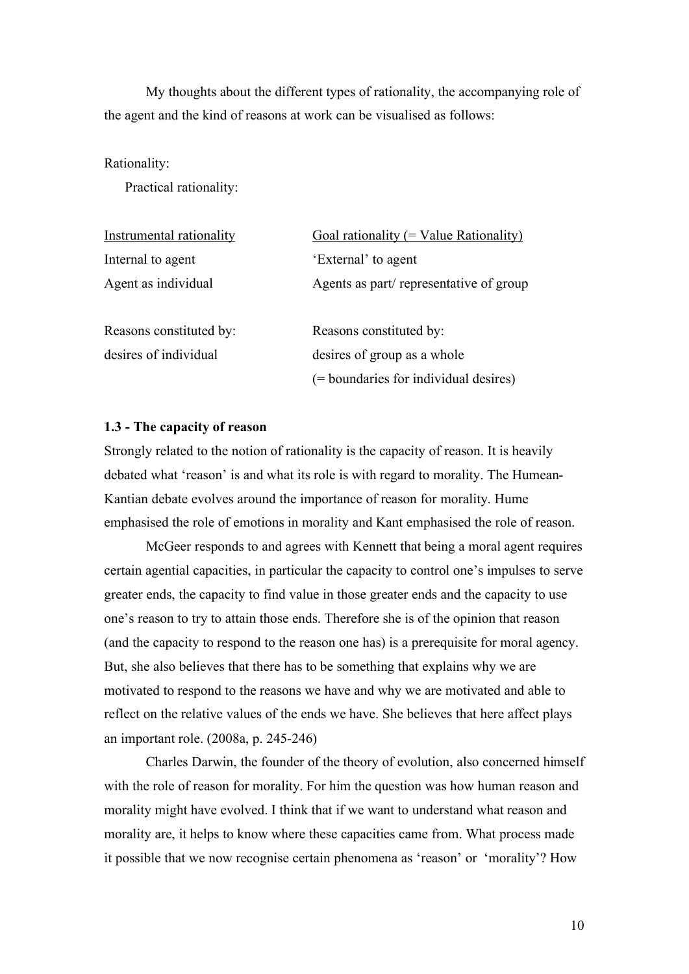My thoughts about the different types of rationality, the accompanying role of the agent and the kind of reasons at work can be visualised as follows:

#### Rationality:

Practical rationality:

| Instrumental rationality | Goal rationality (= Value Rationality) |
|--------------------------|----------------------------------------|
| Internal to agent        | 'External' to agent                    |
| Agent as individual      | Agents as part/representative of group |
| Reasons constituted by:  | Reasons constituted by:                |
| desires of individual    | desires of group as a whole            |
|                          | (= boundaries for individual desires)  |

#### **1.3 - The capacity of reason**

Strongly related to the notion of rationality is the capacity of reason. It is heavily debated what 'reason' is and what its role is with regard to morality. The Humean-Kantian debate evolves around the importance of reason for morality. Hume emphasised the role of emotions in morality and Kant emphasised the role of reason.

McGeer responds to and agrees with Kennett that being a moral agent requires certain agential capacities, in particular the capacity to control one's impulses to serve greater ends, the capacity to find value in those greater ends and the capacity to use one's reason to try to attain those ends. Therefore she is of the opinion that reason (and the capacity to respond to the reason one has) is a prerequisite for moral agency. But, she also believes that there has to be something that explains why we are motivated to respond to the reasons we have and why we are motivated and able to reflect on the relative values of the ends we have. She believes that here affect plays an important role. (2008a, p. 245-246)

Charles Darwin, the founder of the theory of evolution, also concerned himself with the role of reason for morality. For him the question was how human reason and morality might have evolved. I think that if we want to understand what reason and morality are, it helps to know where these capacities came from. What process made it possible that we now recognise certain phenomena as 'reason' or 'morality'? How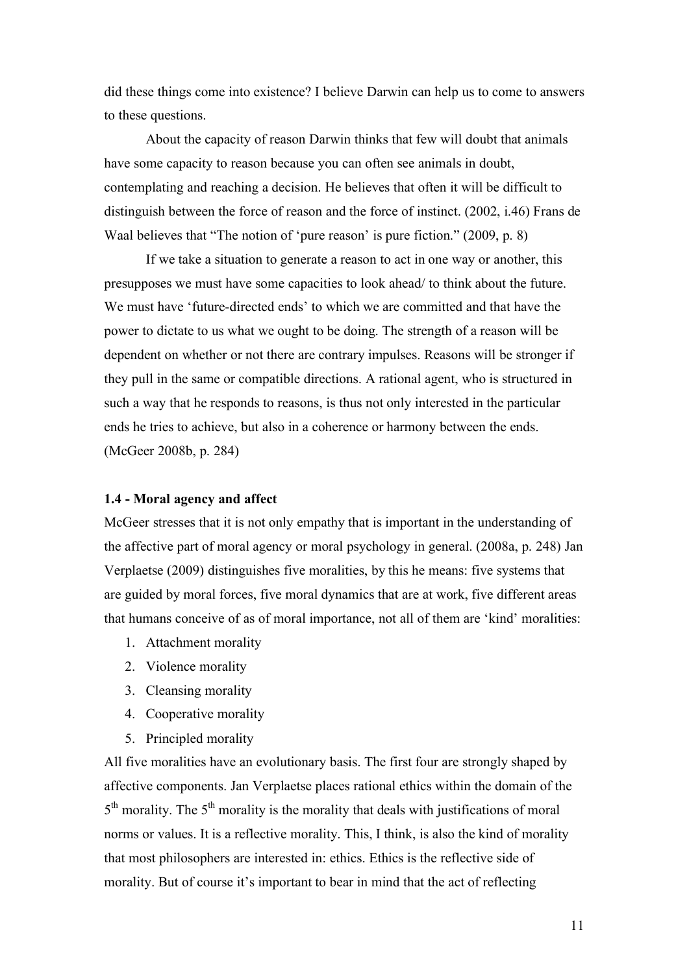did these things come into existence? I believe Darwin can help us to come to answers to these questions.

About the capacity of reason Darwin thinks that few will doubt that animals have some capacity to reason because you can often see animals in doubt, contemplating and reaching a decision. He believes that often it will be difficult to distinguish between the force of reason and the force of instinct. (2002, i.46) Frans de Waal believes that "The notion of 'pure reason' is pure fiction." (2009, p. 8)

If we take a situation to generate a reason to act in one way or another, this presupposes we must have some capacities to look ahead/ to think about the future. We must have 'future-directed ends' to which we are committed and that have the power to dictate to us what we ought to be doing. The strength of a reason will be dependent on whether or not there are contrary impulses. Reasons will be stronger if they pull in the same or compatible directions. A rational agent, who is structured in such a way that he responds to reasons, is thus not only interested in the particular ends he tries to achieve, but also in a coherence or harmony between the ends. (McGeer 2008b, p. 284)

### **1.4 - Moral agency and affect**

McGeer stresses that it is not only empathy that is important in the understanding of the affective part of moral agency or moral psychology in general. (2008a, p. 248) Jan Verplaetse (2009) distinguishes five moralities, by this he means: five systems that are guided by moral forces, five moral dynamics that are at work, five different areas that humans conceive of as of moral importance, not all of them are 'kind' moralities:

- 1. Attachment morality
- 2. Violence morality
- 3. Cleansing morality
- 4. Cooperative morality
- 5. Principled morality

All five moralities have an evolutionary basis. The first four are strongly shaped by affective components. Jan Verplaetse places rational ethics within the domain of the  $5<sup>th</sup>$  morality. The  $5<sup>th</sup>$  morality is the morality that deals with justifications of moral norms or values. It is a reflective morality. This, I think, is also the kind of morality that most philosophers are interested in: ethics. Ethics is the reflective side of morality. But of course it's important to bear in mind that the act of reflecting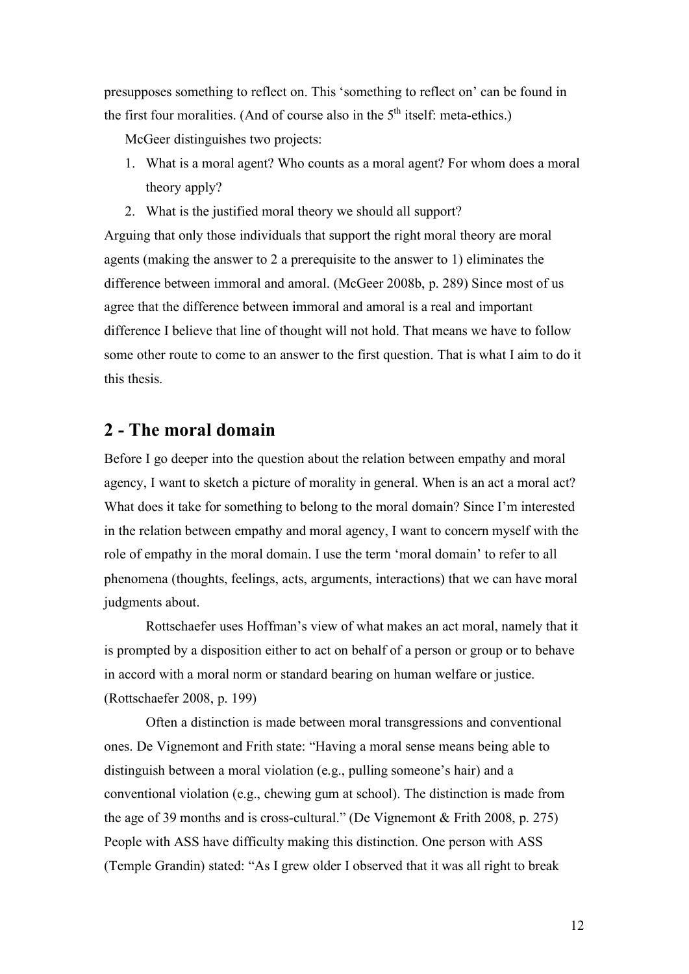presupposes something to reflect on. This 'something to reflect on' can be found in the first four moralities. (And of course also in the  $5<sup>th</sup>$  itself: meta-ethics.)

McGeer distinguishes two projects:

- 1. What is a moral agent? Who counts as a moral agent? For whom does a moral theory apply?
- 2. What is the justified moral theory we should all support?

Arguing that only those individuals that support the right moral theory are moral agents (making the answer to 2 a prerequisite to the answer to 1) eliminates the difference between immoral and amoral. (McGeer 2008b, p. 289) Since most of us agree that the difference between immoral and amoral is a real and important difference I believe that line of thought will not hold. That means we have to follow some other route to come to an answer to the first question. That is what I aim to do it this thesis.

## **2 - The moral domain**

Before I go deeper into the question about the relation between empathy and moral agency, I want to sketch a picture of morality in general. When is an act a moral act? What does it take for something to belong to the moral domain? Since I'm interested in the relation between empathy and moral agency, I want to concern myself with the role of empathy in the moral domain. I use the term 'moral domain' to refer to all phenomena (thoughts, feelings, acts, arguments, interactions) that we can have moral judgments about.

Rottschaefer uses Hoffman's view of what makes an act moral, namely that it is prompted by a disposition either to act on behalf of a person or group or to behave in accord with a moral norm or standard bearing on human welfare or justice. (Rottschaefer 2008, p. 199)

Often a distinction is made between moral transgressions and conventional ones. De Vignemont and Frith state: "Having a moral sense means being able to distinguish between a moral violation (e.g., pulling someone's hair) and a conventional violation (e.g., chewing gum at school). The distinction is made from the age of 39 months and is cross-cultural." (De Vignemont & Frith 2008, p. 275) People with ASS have difficulty making this distinction. One person with ASS (Temple Grandin) stated: "As I grew older I observed that it was all right to break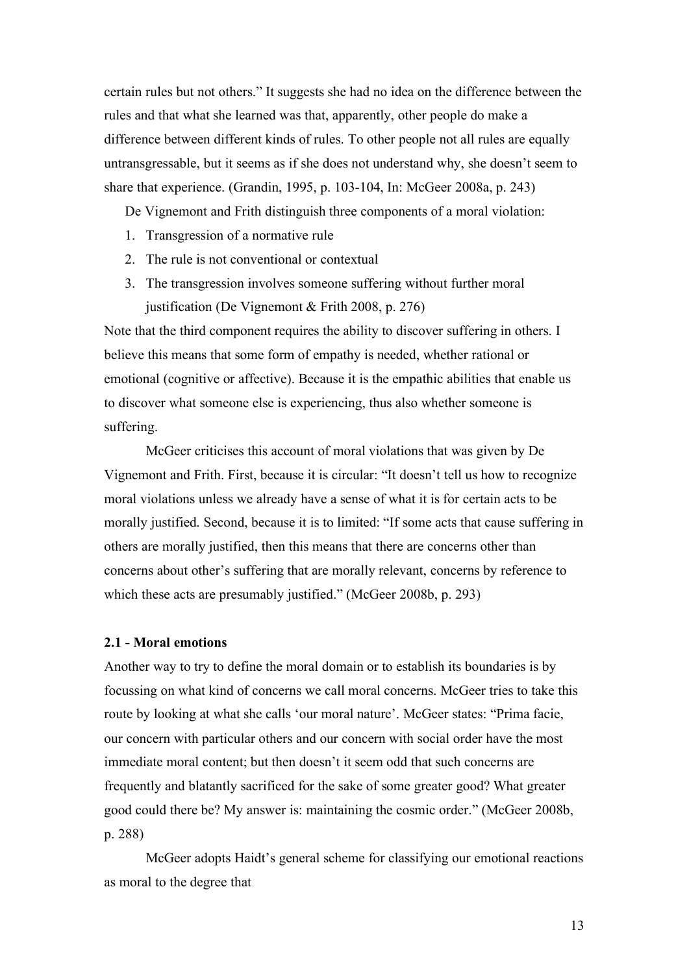certain rules but not others." It suggests she had no idea on the difference between the rules and that what she learned was that, apparently, other people do make a difference between different kinds of rules. To other people not all rules are equally untransgressable, but it seems as if she does not understand why, she doesn't seem to share that experience. (Grandin, 1995, p. 103-104, In: McGeer 2008a, p. 243)

De Vignemont and Frith distinguish three components of a moral violation:

- 1. Transgression of a normative rule
- 2. The rule is not conventional or contextual
- 3. The transgression involves someone suffering without further moral justification (De Vignemont & Frith 2008, p. 276)

Note that the third component requires the ability to discover suffering in others. I believe this means that some form of empathy is needed, whether rational or emotional (cognitive or affective). Because it is the empathic abilities that enable us to discover what someone else is experiencing, thus also whether someone is suffering.

McGeer criticises this account of moral violations that was given by De Vignemont and Frith. First, because it is circular: "It doesn't tell us how to recognize moral violations unless we already have a sense of what it is for certain acts to be morally justified. Second, because it is to limited: "If some acts that cause suffering in others are morally justified, then this means that there are concerns other than concerns about other's suffering that are morally relevant, concerns by reference to which these acts are presumably justified." (McGeer 2008b, p. 293)

#### **2.1 - Moral emotions**

Another way to try to define the moral domain or to establish its boundaries is by focussing on what kind of concerns we call moral concerns. McGeer tries to take this route by looking at what she calls 'our moral nature'. McGeer states: "Prima facie, our concern with particular others and our concern with social order have the most immediate moral content; but then doesn't it seem odd that such concerns are frequently and blatantly sacrificed for the sake of some greater good? What greater good could there be? My answer is: maintaining the cosmic order." (McGeer 2008b, p. 288)

McGeer adopts Haidt's general scheme for classifying our emotional reactions as moral to the degree that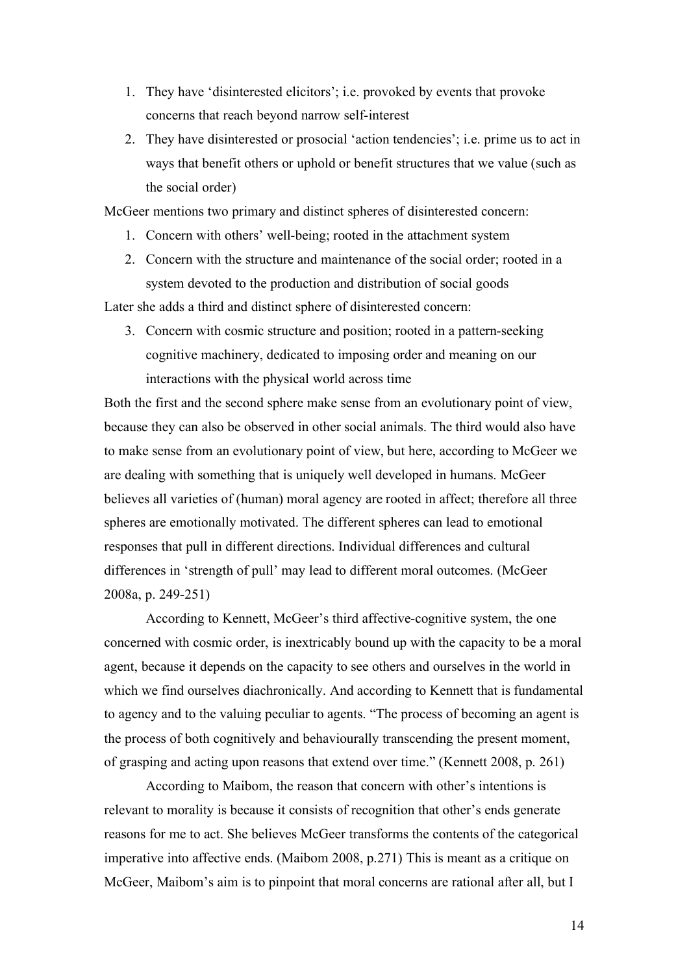- 1. They have 'disinterested elicitors'; i.e. provoked by events that provoke concerns that reach beyond narrow self-interest
- 2. They have disinterested or prosocial 'action tendencies'; i.e. prime us to act in ways that benefit others or uphold or benefit structures that we value (such as the social order)

McGeer mentions two primary and distinct spheres of disinterested concern:

- 1. Concern with others' well-being; rooted in the attachment system
- 2. Concern with the structure and maintenance of the social order; rooted in a system devoted to the production and distribution of social goods

Later she adds a third and distinct sphere of disinterested concern:

3. Concern with cosmic structure and position; rooted in a pattern-seeking cognitive machinery, dedicated to imposing order and meaning on our interactions with the physical world across time

Both the first and the second sphere make sense from an evolutionary point of view, because they can also be observed in other social animals. The third would also have to make sense from an evolutionary point of view, but here, according to McGeer we are dealing with something that is uniquely well developed in humans. McGeer believes all varieties of (human) moral agency are rooted in affect; therefore all three spheres are emotionally motivated. The different spheres can lead to emotional responses that pull in different directions. Individual differences and cultural differences in 'strength of pull' may lead to different moral outcomes. (McGeer 2008a, p. 249-251)

According to Kennett, McGeer's third affective-cognitive system, the one concerned with cosmic order, is inextricably bound up with the capacity to be a moral agent, because it depends on the capacity to see others and ourselves in the world in which we find ourselves diachronically. And according to Kennett that is fundamental to agency and to the valuing peculiar to agents. "The process of becoming an agent is the process of both cognitively and behaviourally transcending the present moment, of grasping and acting upon reasons that extend over time." (Kennett 2008, p. 261)

According to Maibom, the reason that concern with other's intentions is relevant to morality is because it consists of recognition that other's ends generate reasons for me to act. She believes McGeer transforms the contents of the categorical imperative into affective ends. (Maibom 2008, p.271) This is meant as a critique on McGeer, Maibom's aim is to pinpoint that moral concerns are rational after all, but I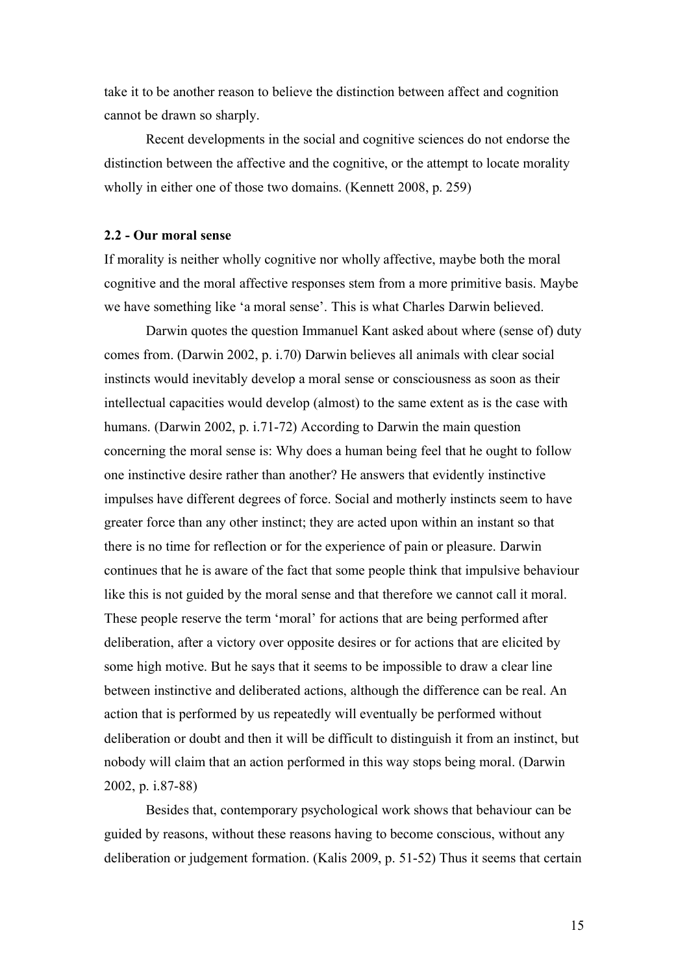take it to be another reason to believe the distinction between affect and cognition cannot be drawn so sharply.

Recent developments in the social and cognitive sciences do not endorse the distinction between the affective and the cognitive, or the attempt to locate morality wholly in either one of those two domains. (Kennett 2008, p. 259)

### **2.2 - Our moral sense**

If morality is neither wholly cognitive nor wholly affective, maybe both the moral cognitive and the moral affective responses stem from a more primitive basis. Maybe we have something like 'a moral sense'. This is what Charles Darwin believed.

Darwin quotes the question Immanuel Kant asked about where (sense of) duty comes from. (Darwin 2002, p. i.70) Darwin believes all animals with clear social instincts would inevitably develop a moral sense or consciousness as soon as their intellectual capacities would develop (almost) to the same extent as is the case with humans. (Darwin 2002, p. i.71-72) According to Darwin the main question concerning the moral sense is: Why does a human being feel that he ought to follow one instinctive desire rather than another? He answers that evidently instinctive impulses have different degrees of force. Social and motherly instincts seem to have greater force than any other instinct; they are acted upon within an instant so that there is no time for reflection or for the experience of pain or pleasure. Darwin continues that he is aware of the fact that some people think that impulsive behaviour like this is not guided by the moral sense and that therefore we cannot call it moral. These people reserve the term 'moral' for actions that are being performed after deliberation, after a victory over opposite desires or for actions that are elicited by some high motive. But he says that it seems to be impossible to draw a clear line between instinctive and deliberated actions, although the difference can be real. An action that is performed by us repeatedly will eventually be performed without deliberation or doubt and then it will be difficult to distinguish it from an instinct, but nobody will claim that an action performed in this way stops being moral. (Darwin 2002, p. i.87-88)

Besides that, contemporary psychological work shows that behaviour can be guided by reasons, without these reasons having to become conscious, without any deliberation or judgement formation. (Kalis 2009, p. 51-52) Thus it seems that certain

15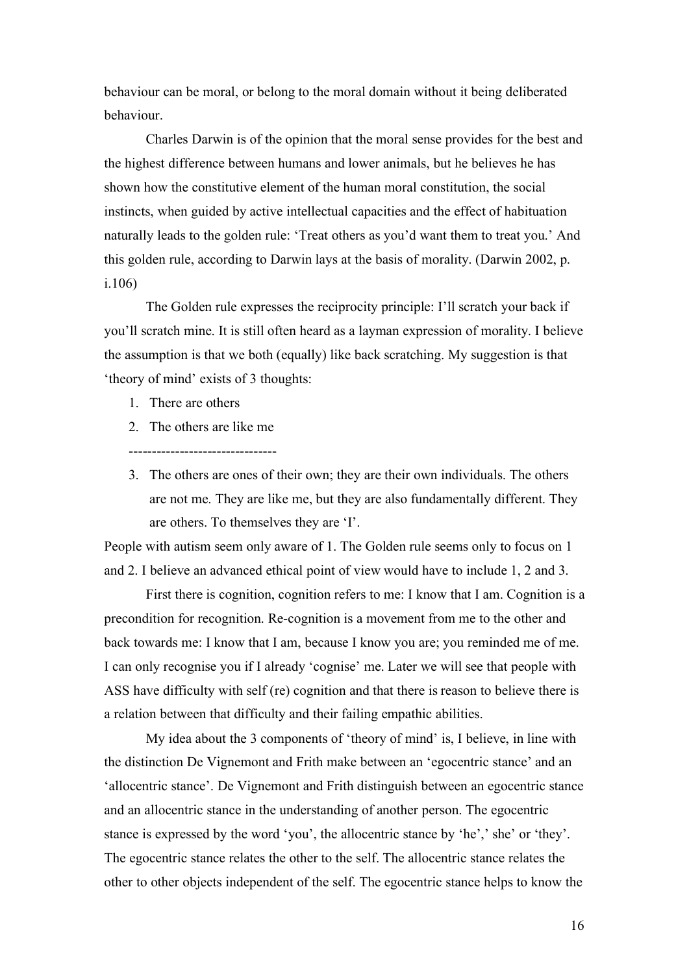behaviour can be moral, or belong to the moral domain without it being deliberated behaviour.

Charles Darwin is of the opinion that the moral sense provides for the best and the highest difference between humans and lower animals, but he believes he has shown how the constitutive element of the human moral constitution, the social instincts, when guided by active intellectual capacities and the effect of habituation naturally leads to the golden rule: 'Treat others as you'd want them to treat you.' And this golden rule, according to Darwin lays at the basis of morality. (Darwin 2002, p. i.106)

The Golden rule expresses the reciprocity principle: I'll scratch your back if you'll scratch mine. It is still often heard as a layman expression of morality. I believe the assumption is that we both (equally) like back scratching. My suggestion is that 'theory of mind' exists of 3 thoughts:

- 1. There are others
- 2. The others are like me

--------------------------------

3. The others are ones of their own; they are their own individuals. The others are not me. They are like me, but they are also fundamentally different. They are others. To themselves they are 'I'.

People with autism seem only aware of 1. The Golden rule seems only to focus on 1 and 2. I believe an advanced ethical point of view would have to include 1, 2 and 3.

First there is cognition, cognition refers to me: I know that I am. Cognition is a precondition for recognition. Re-cognition is a movement from me to the other and back towards me: I know that I am, because I know you are; you reminded me of me. I can only recognise you if I already 'cognise' me. Later we will see that people with ASS have difficulty with self (re) cognition and that there is reason to believe there is a relation between that difficulty and their failing empathic abilities.

My idea about the 3 components of 'theory of mind' is, I believe, in line with the distinction De Vignemont and Frith make between an 'egocentric stance' and an 'allocentric stance'. De Vignemont and Frith distinguish between an egocentric stance and an allocentric stance in the understanding of another person. The egocentric stance is expressed by the word 'you', the allocentric stance by 'he',' she' or 'they'. The egocentric stance relates the other to the self. The allocentric stance relates the other to other objects independent of the self. The egocentric stance helps to know the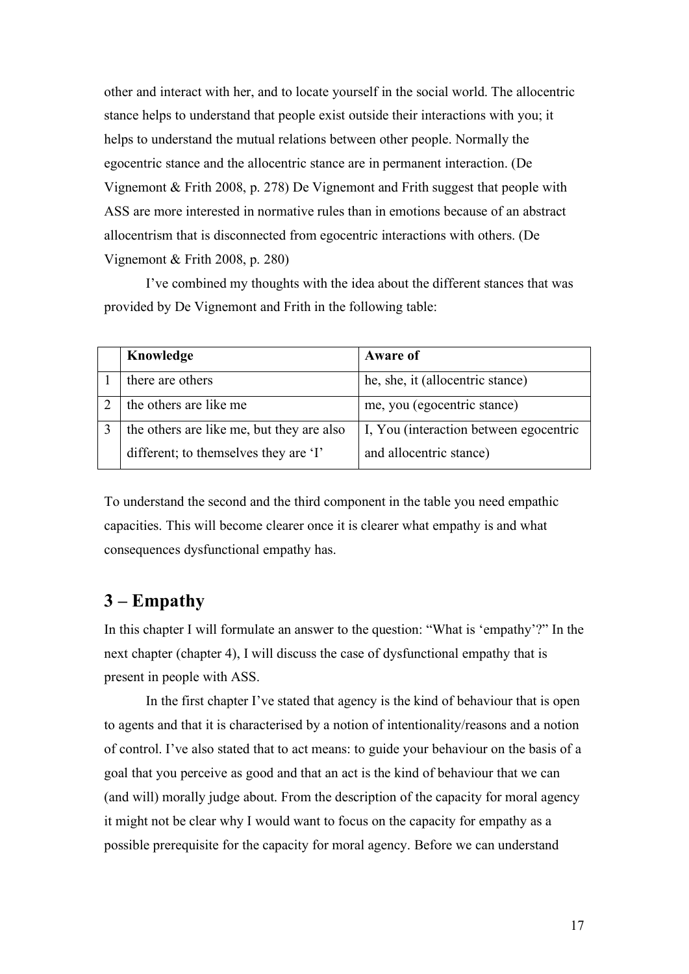other and interact with her, and to locate yourself in the social world. The allocentric stance helps to understand that people exist outside their interactions with you; it helps to understand the mutual relations between other people. Normally the egocentric stance and the allocentric stance are in permanent interaction. (De Vignemont & Frith 2008, p. 278) De Vignemont and Frith suggest that people with ASS are more interested in normative rules than in emotions because of an abstract allocentrism that is disconnected from egocentric interactions with others. (De Vignemont & Frith 2008, p. 280)

I've combined my thoughts with the idea about the different stances that was provided by De Vignemont and Frith in the following table:

| Knowledge                                 | <b>Aware of</b>                        |
|-------------------------------------------|----------------------------------------|
| there are others                          | he, she, it (allocentric stance)       |
| the others are like me                    | me, you (egocentric stance)            |
| the others are like me, but they are also | I, You (interaction between egocentric |
| different; to themselves they are 'I'     | and allocentric stance)                |

To understand the second and the third component in the table you need empathic capacities. This will become clearer once it is clearer what empathy is and what consequences dysfunctional empathy has.

# **3 – Empathy**

In this chapter I will formulate an answer to the question: "What is 'empathy'?" In the next chapter (chapter 4), I will discuss the case of dysfunctional empathy that is present in people with ASS.

In the first chapter I've stated that agency is the kind of behaviour that is open to agents and that it is characterised by a notion of intentionality/reasons and a notion of control. I've also stated that to act means: to guide your behaviour on the basis of a goal that you perceive as good and that an act is the kind of behaviour that we can (and will) morally judge about. From the description of the capacity for moral agency it might not be clear why I would want to focus on the capacity for empathy as a possible prerequisite for the capacity for moral agency. Before we can understand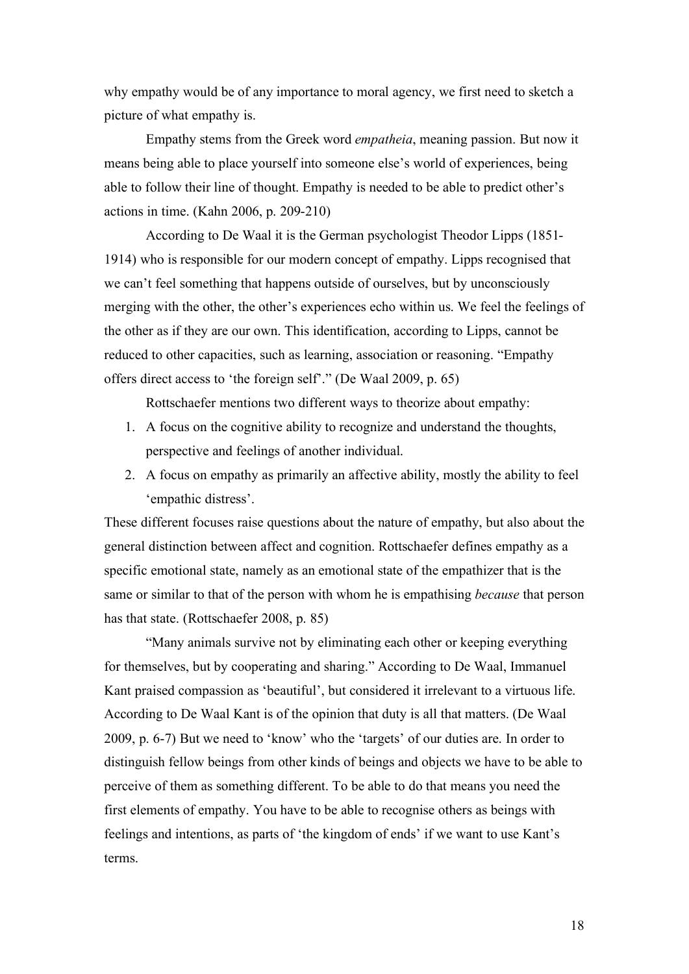why empathy would be of any importance to moral agency, we first need to sketch a picture of what empathy is.

Empathy stems from the Greek word *empatheia*, meaning passion. But now it means being able to place yourself into someone else's world of experiences, being able to follow their line of thought. Empathy is needed to be able to predict other's actions in time. (Kahn 2006, p. 209-210)

According to De Waal it is the German psychologist Theodor Lipps (1851- 1914) who is responsible for our modern concept of empathy. Lipps recognised that we can't feel something that happens outside of ourselves, but by unconsciously merging with the other, the other's experiences echo within us. We feel the feelings of the other as if they are our own. This identification, according to Lipps, cannot be reduced to other capacities, such as learning, association or reasoning. "Empathy offers direct access to 'the foreign self'." (De Waal 2009, p. 65)

Rottschaefer mentions two different ways to theorize about empathy:

- 1. A focus on the cognitive ability to recognize and understand the thoughts, perspective and feelings of another individual.
- 2. A focus on empathy as primarily an affective ability, mostly the ability to feel 'empathic distress'.

These different focuses raise questions about the nature of empathy, but also about the general distinction between affect and cognition. Rottschaefer defines empathy as a specific emotional state, namely as an emotional state of the empathizer that is the same or similar to that of the person with whom he is empathising *because* that person has that state. (Rottschaefer 2008, p. 85)

"Many animals survive not by eliminating each other or keeping everything for themselves, but by cooperating and sharing." According to De Waal, Immanuel Kant praised compassion as 'beautiful', but considered it irrelevant to a virtuous life. According to De Waal Kant is of the opinion that duty is all that matters. (De Waal 2009, p. 6-7) But we need to 'know' who the 'targets' of our duties are. In order to distinguish fellow beings from other kinds of beings and objects we have to be able to perceive of them as something different. To be able to do that means you need the first elements of empathy. You have to be able to recognise others as beings with feelings and intentions, as parts of 'the kingdom of ends' if we want to use Kant's terms.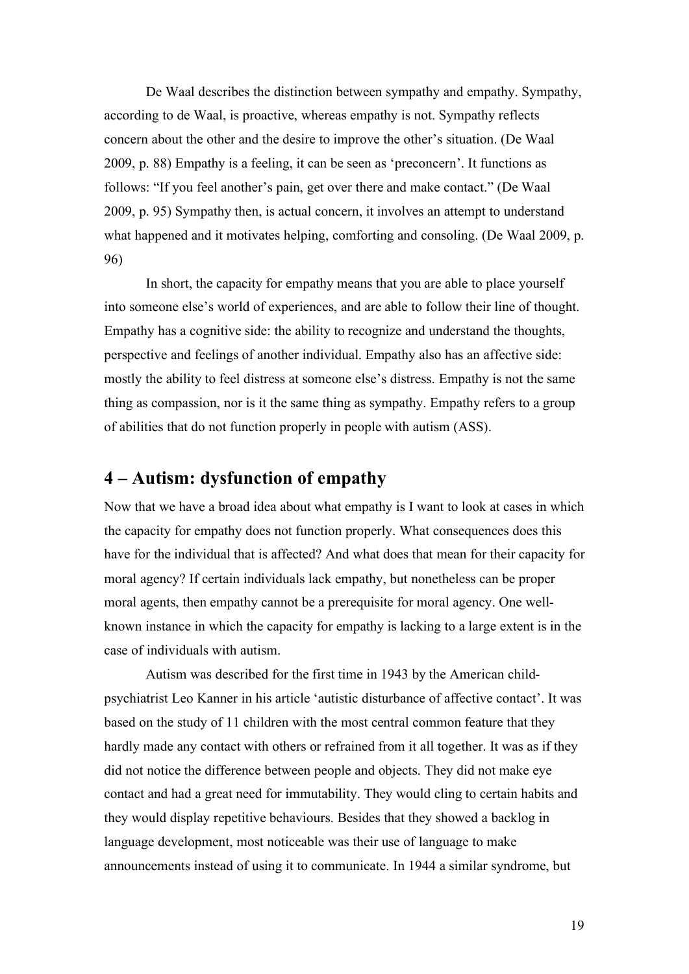De Waal describes the distinction between sympathy and empathy. Sympathy, according to de Waal, is proactive, whereas empathy is not. Sympathy reflects concern about the other and the desire to improve the other's situation. (De Waal 2009, p. 88) Empathy is a feeling, it can be seen as 'preconcern'. It functions as follows: "If you feel another's pain, get over there and make contact." (De Waal 2009, p. 95) Sympathy then, is actual concern, it involves an attempt to understand what happened and it motivates helping, comforting and consoling. (De Waal 2009, p. 96)

In short, the capacity for empathy means that you are able to place yourself into someone else's world of experiences, and are able to follow their line of thought. Empathy has a cognitive side: the ability to recognize and understand the thoughts, perspective and feelings of another individual. Empathy also has an affective side: mostly the ability to feel distress at someone else's distress. Empathy is not the same thing as compassion, nor is it the same thing as sympathy. Empathy refers to a group of abilities that do not function properly in people with autism (ASS).

# **4 – Autism: dysfunction of empathy**

Now that we have a broad idea about what empathy is I want to look at cases in which the capacity for empathy does not function properly. What consequences does this have for the individual that is affected? And what does that mean for their capacity for moral agency? If certain individuals lack empathy, but nonetheless can be proper moral agents, then empathy cannot be a prerequisite for moral agency. One wellknown instance in which the capacity for empathy is lacking to a large extent is in the case of individuals with autism.

Autism was described for the first time in 1943 by the American childpsychiatrist Leo Kanner in his article 'autistic disturbance of affective contact'. It was based on the study of 11 children with the most central common feature that they hardly made any contact with others or refrained from it all together. It was as if they did not notice the difference between people and objects. They did not make eye contact and had a great need for immutability. They would cling to certain habits and they would display repetitive behaviours. Besides that they showed a backlog in language development, most noticeable was their use of language to make announcements instead of using it to communicate. In 1944 a similar syndrome, but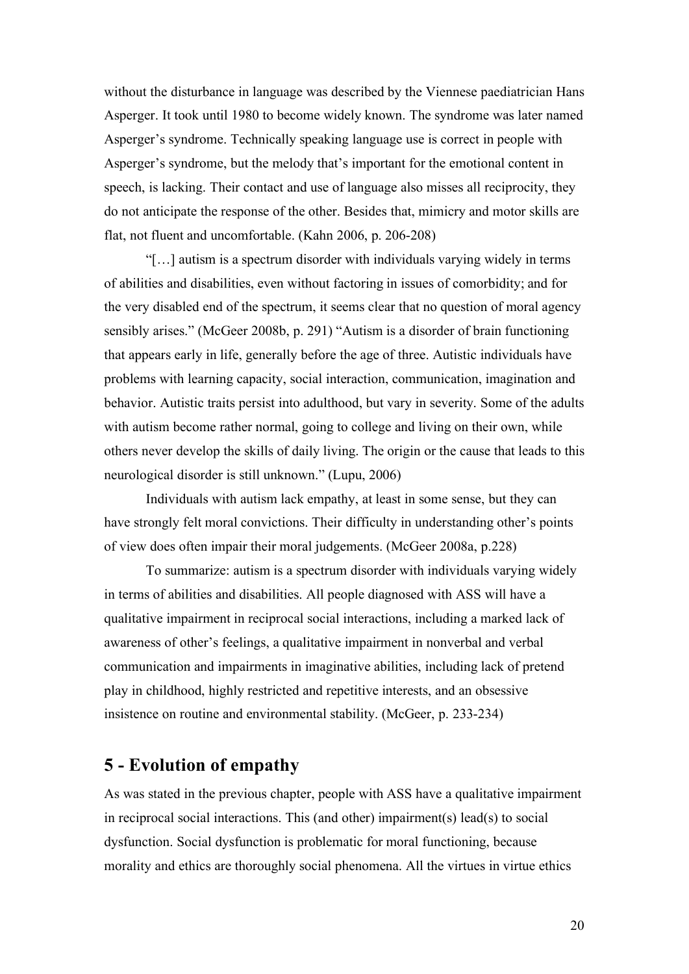without the disturbance in language was described by the Viennese paediatrician Hans Asperger. It took until 1980 to become widely known. The syndrome was later named Asperger's syndrome. Technically speaking language use is correct in people with Asperger's syndrome, but the melody that's important for the emotional content in speech, is lacking. Their contact and use of language also misses all reciprocity, they do not anticipate the response of the other. Besides that, mimicry and motor skills are flat, not fluent and uncomfortable. (Kahn 2006, p. 206-208)

"[…] autism is a spectrum disorder with individuals varying widely in terms of abilities and disabilities, even without factoring in issues of comorbidity; and for the very disabled end of the spectrum, it seems clear that no question of moral agency sensibly arises." (McGeer 2008b, p. 291) "Autism is a disorder of brain functioning that appears early in life, generally before the age of three. Autistic individuals have problems with learning capacity, social interaction, communication, imagination and behavior. Autistic traits persist into adulthood, but vary in severity. Some of the adults with autism become rather normal, going to college and living on their own, while others never develop the skills of daily living. The origin or the cause that leads to this neurological disorder is still unknown." (Lupu, 2006)

Individuals with autism lack empathy, at least in some sense, but they can have strongly felt moral convictions. Their difficulty in understanding other's points of view does often impair their moral judgements. (McGeer 2008a, p.228)

To summarize: autism is a spectrum disorder with individuals varying widely in terms of abilities and disabilities. All people diagnosed with ASS will have a qualitative impairment in reciprocal social interactions, including a marked lack of awareness of other's feelings, a qualitative impairment in nonverbal and verbal communication and impairments in imaginative abilities, including lack of pretend play in childhood, highly restricted and repetitive interests, and an obsessive insistence on routine and environmental stability. (McGeer, p. 233-234)

# **5 - Evolution of empathy**

As was stated in the previous chapter, people with ASS have a qualitative impairment in reciprocal social interactions. This (and other) impairment(s) lead(s) to social dysfunction. Social dysfunction is problematic for moral functioning, because morality and ethics are thoroughly social phenomena. All the virtues in virtue ethics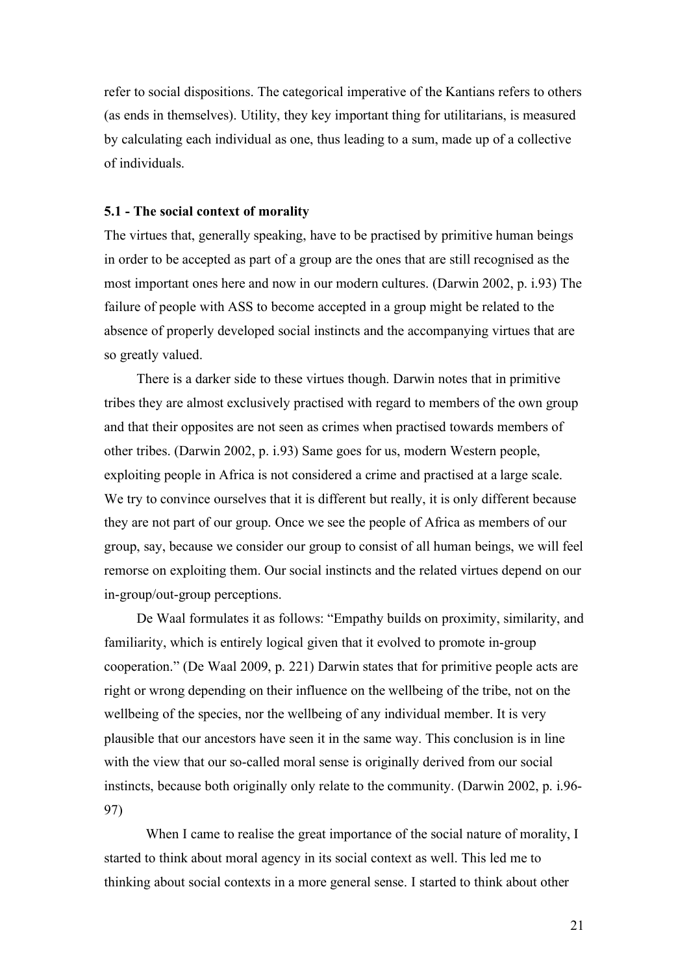refer to social dispositions. The categorical imperative of the Kantians refers to others (as ends in themselves). Utility, they key important thing for utilitarians, is measured by calculating each individual as one, thus leading to a sum, made up of a collective of individuals.

#### **5.1 - The social context of morality**

The virtues that, generally speaking, have to be practised by primitive human beings in order to be accepted as part of a group are the ones that are still recognised as the most important ones here and now in our modern cultures. (Darwin 2002, p. i.93) The failure of people with ASS to become accepted in a group might be related to the absence of properly developed social instincts and the accompanying virtues that are so greatly valued.

There is a darker side to these virtues though. Darwin notes that in primitive tribes they are almost exclusively practised with regard to members of the own group and that their opposites are not seen as crimes when practised towards members of other tribes. (Darwin 2002, p. i.93) Same goes for us, modern Western people, exploiting people in Africa is not considered a crime and practised at a large scale. We try to convince ourselves that it is different but really, it is only different because they are not part of our group. Once we see the people of Africa as members of our group, say, because we consider our group to consist of all human beings, we will feel remorse on exploiting them. Our social instincts and the related virtues depend on our in-group/out-group perceptions.

De Waal formulates it as follows: "Empathy builds on proximity, similarity, and familiarity, which is entirely logical given that it evolved to promote in-group cooperation." (De Waal 2009, p. 221) Darwin states that for primitive people acts are right or wrong depending on their influence on the wellbeing of the tribe, not on the wellbeing of the species, nor the wellbeing of any individual member. It is very plausible that our ancestors have seen it in the same way. This conclusion is in line with the view that our so-called moral sense is originally derived from our social instincts, because both originally only relate to the community. (Darwin 2002, p. i.96- 97)

When I came to realise the great importance of the social nature of morality, I started to think about moral agency in its social context as well. This led me to thinking about social contexts in a more general sense. I started to think about other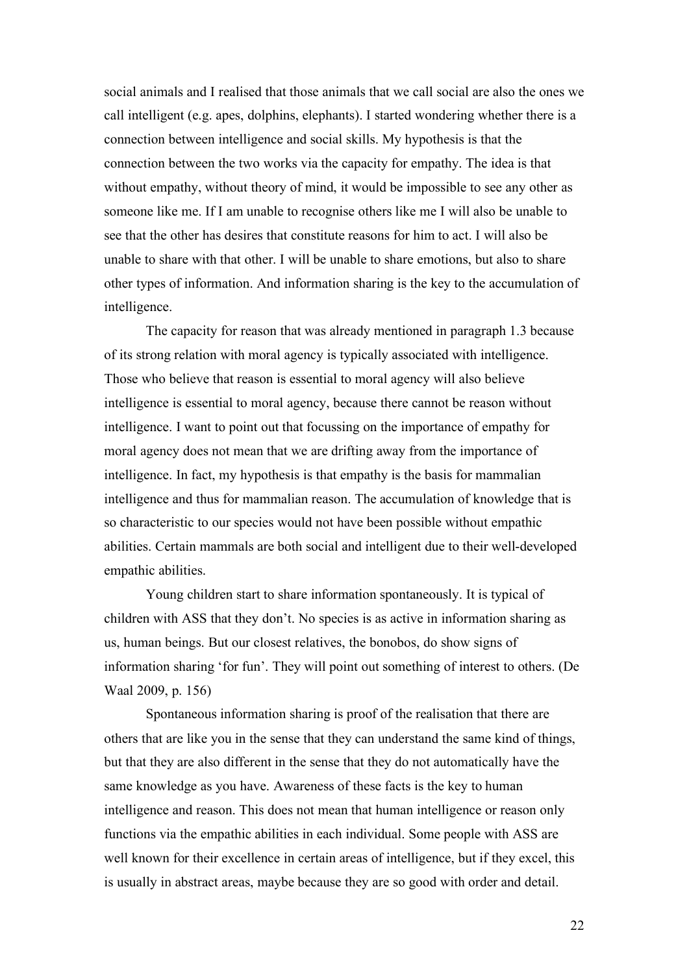social animals and I realised that those animals that we call social are also the ones we call intelligent (e.g. apes, dolphins, elephants). I started wondering whether there is a connection between intelligence and social skills. My hypothesis is that the connection between the two works via the capacity for empathy. The idea is that without empathy, without theory of mind, it would be impossible to see any other as someone like me. If I am unable to recognise others like me I will also be unable to see that the other has desires that constitute reasons for him to act. I will also be unable to share with that other. I will be unable to share emotions, but also to share other types of information. And information sharing is the key to the accumulation of intelligence.

The capacity for reason that was already mentioned in paragraph 1.3 because of its strong relation with moral agency is typically associated with intelligence. Those who believe that reason is essential to moral agency will also believe intelligence is essential to moral agency, because there cannot be reason without intelligence. I want to point out that focussing on the importance of empathy for moral agency does not mean that we are drifting away from the importance of intelligence. In fact, my hypothesis is that empathy is the basis for mammalian intelligence and thus for mammalian reason. The accumulation of knowledge that is so characteristic to our species would not have been possible without empathic abilities. Certain mammals are both social and intelligent due to their well-developed empathic abilities.

Young children start to share information spontaneously. It is typical of children with ASS that they don't. No species is as active in information sharing as us, human beings. But our closest relatives, the bonobos, do show signs of information sharing 'for fun'. They will point out something of interest to others. (De Waal 2009, p. 156)

Spontaneous information sharing is proof of the realisation that there are others that are like you in the sense that they can understand the same kind of things, but that they are also different in the sense that they do not automatically have the same knowledge as you have. Awareness of these facts is the key to human intelligence and reason. This does not mean that human intelligence or reason only functions via the empathic abilities in each individual. Some people with ASS are well known for their excellence in certain areas of intelligence, but if they excel, this is usually in abstract areas, maybe because they are so good with order and detail.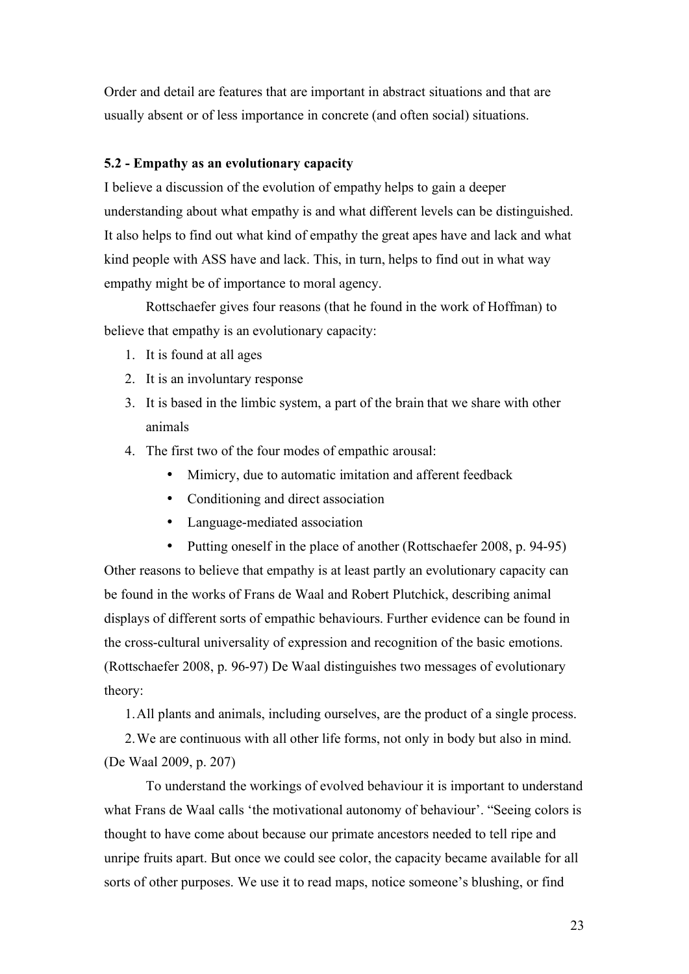Order and detail are features that are important in abstract situations and that are usually absent or of less importance in concrete (and often social) situations.

### **5.2 - Empathy as an evolutionary capacity**

I believe a discussion of the evolution of empathy helps to gain a deeper understanding about what empathy is and what different levels can be distinguished. It also helps to find out what kind of empathy the great apes have and lack and what kind people with ASS have and lack. This, in turn, helps to find out in what way empathy might be of importance to moral agency.

Rottschaefer gives four reasons (that he found in the work of Hoffman) to believe that empathy is an evolutionary capacity:

- 1. It is found at all ages
- 2. It is an involuntary response
- 3. It is based in the limbic system, a part of the brain that we share with other animals
- 4. The first two of the four modes of empathic arousal:
	- Mimicry, due to automatic imitation and afferent feedback
	- Conditioning and direct association
	- Language-mediated association
	- Putting oneself in the place of another (Rottschaefer 2008, p. 94-95)

Other reasons to believe that empathy is at least partly an evolutionary capacity can be found in the works of Frans de Waal and Robert Plutchick, describing animal displays of different sorts of empathic behaviours. Further evidence can be found in the cross-cultural universality of expression and recognition of the basic emotions. (Rottschaefer 2008, p. 96-97) De Waal distinguishes two messages of evolutionary theory:

1.All plants and animals, including ourselves, are the product of a single process.

2.We are continuous with all other life forms, not only in body but also in mind. (De Waal 2009, p. 207)

To understand the workings of evolved behaviour it is important to understand what Frans de Waal calls 'the motivational autonomy of behaviour'. "Seeing colors is thought to have come about because our primate ancestors needed to tell ripe and unripe fruits apart. But once we could see color, the capacity became available for all sorts of other purposes. We use it to read maps, notice someone's blushing, or find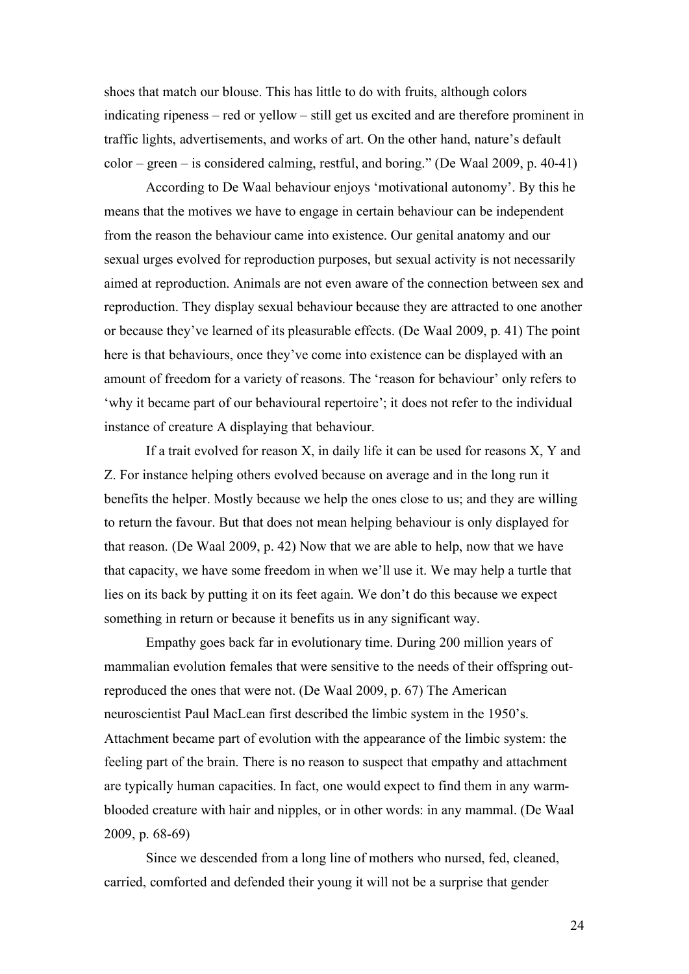shoes that match our blouse. This has little to do with fruits, although colors indicating ripeness – red or yellow – still get us excited and are therefore prominent in traffic lights, advertisements, and works of art. On the other hand, nature's default color – green – is considered calming, restful, and boring." (De Waal 2009, p. 40-41)

According to De Waal behaviour enjoys 'motivational autonomy'. By this he means that the motives we have to engage in certain behaviour can be independent from the reason the behaviour came into existence. Our genital anatomy and our sexual urges evolved for reproduction purposes, but sexual activity is not necessarily aimed at reproduction. Animals are not even aware of the connection between sex and reproduction. They display sexual behaviour because they are attracted to one another or because they've learned of its pleasurable effects. (De Waal 2009, p. 41) The point here is that behaviours, once they've come into existence can be displayed with an amount of freedom for a variety of reasons. The 'reason for behaviour' only refers to 'why it became part of our behavioural repertoire'; it does not refer to the individual instance of creature A displaying that behaviour.

If a trait evolved for reason X, in daily life it can be used for reasons X, Y and Z. For instance helping others evolved because on average and in the long run it benefits the helper. Mostly because we help the ones close to us; and they are willing to return the favour. But that does not mean helping behaviour is only displayed for that reason. (De Waal 2009, p. 42) Now that we are able to help, now that we have that capacity, we have some freedom in when we'll use it. We may help a turtle that lies on its back by putting it on its feet again. We don't do this because we expect something in return or because it benefits us in any significant way.

Empathy goes back far in evolutionary time. During 200 million years of mammalian evolution females that were sensitive to the needs of their offspring outreproduced the ones that were not. (De Waal 2009, p. 67) The American neuroscientist Paul MacLean first described the limbic system in the 1950's. Attachment became part of evolution with the appearance of the limbic system: the feeling part of the brain. There is no reason to suspect that empathy and attachment are typically human capacities. In fact, one would expect to find them in any warmblooded creature with hair and nipples, or in other words: in any mammal. (De Waal 2009, p. 68-69)

Since we descended from a long line of mothers who nursed, fed, cleaned, carried, comforted and defended their young it will not be a surprise that gender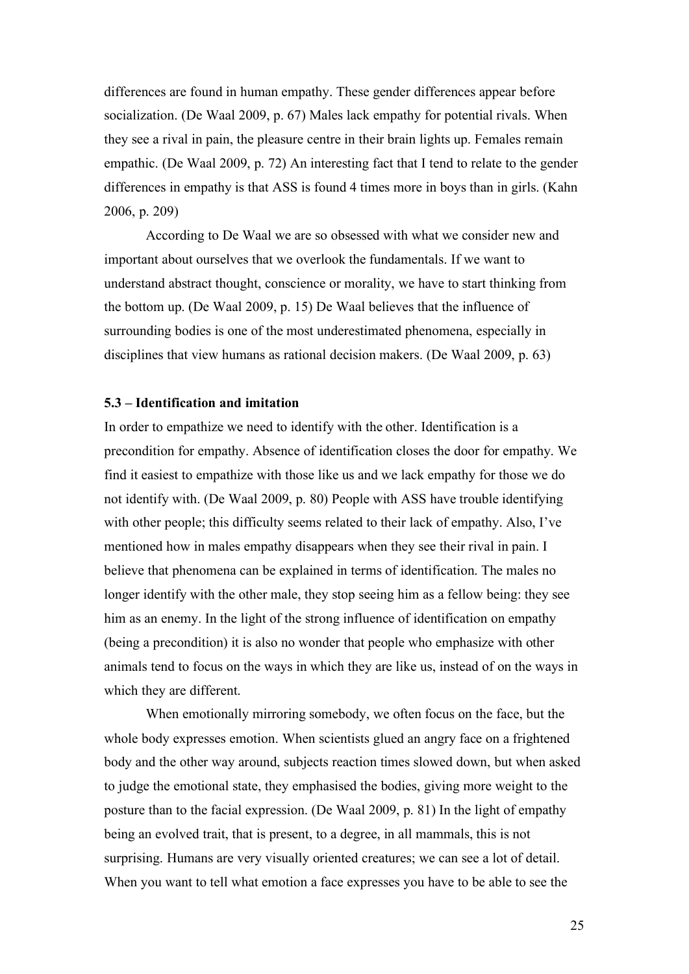differences are found in human empathy. These gender differences appear before socialization. (De Waal 2009, p. 67) Males lack empathy for potential rivals. When they see a rival in pain, the pleasure centre in their brain lights up. Females remain empathic. (De Waal 2009, p. 72) An interesting fact that I tend to relate to the gender differences in empathy is that ASS is found 4 times more in boys than in girls. (Kahn 2006, p. 209)

According to De Waal we are so obsessed with what we consider new and important about ourselves that we overlook the fundamentals. If we want to understand abstract thought, conscience or morality, we have to start thinking from the bottom up. (De Waal 2009, p. 15) De Waal believes that the influence of surrounding bodies is one of the most underestimated phenomena, especially in disciplines that view humans as rational decision makers. (De Waal 2009, p. 63)

## **5.3 – Identification and imitation**

In order to empathize we need to identify with the other. Identification is a precondition for empathy. Absence of identification closes the door for empathy. We find it easiest to empathize with those like us and we lack empathy for those we do not identify with. (De Waal 2009, p. 80) People with ASS have trouble identifying with other people; this difficulty seems related to their lack of empathy. Also, I've mentioned how in males empathy disappears when they see their rival in pain. I believe that phenomena can be explained in terms of identification. The males no longer identify with the other male, they stop seeing him as a fellow being: they see him as an enemy. In the light of the strong influence of identification on empathy (being a precondition) it is also no wonder that people who emphasize with other animals tend to focus on the ways in which they are like us, instead of on the ways in which they are different.

When emotionally mirroring somebody, we often focus on the face, but the whole body expresses emotion. When scientists glued an angry face on a frightened body and the other way around, subjects reaction times slowed down, but when asked to judge the emotional state, they emphasised the bodies, giving more weight to the posture than to the facial expression. (De Waal 2009, p. 81) In the light of empathy being an evolved trait, that is present, to a degree, in all mammals, this is not surprising. Humans are very visually oriented creatures; we can see a lot of detail. When you want to tell what emotion a face expresses you have to be able to see the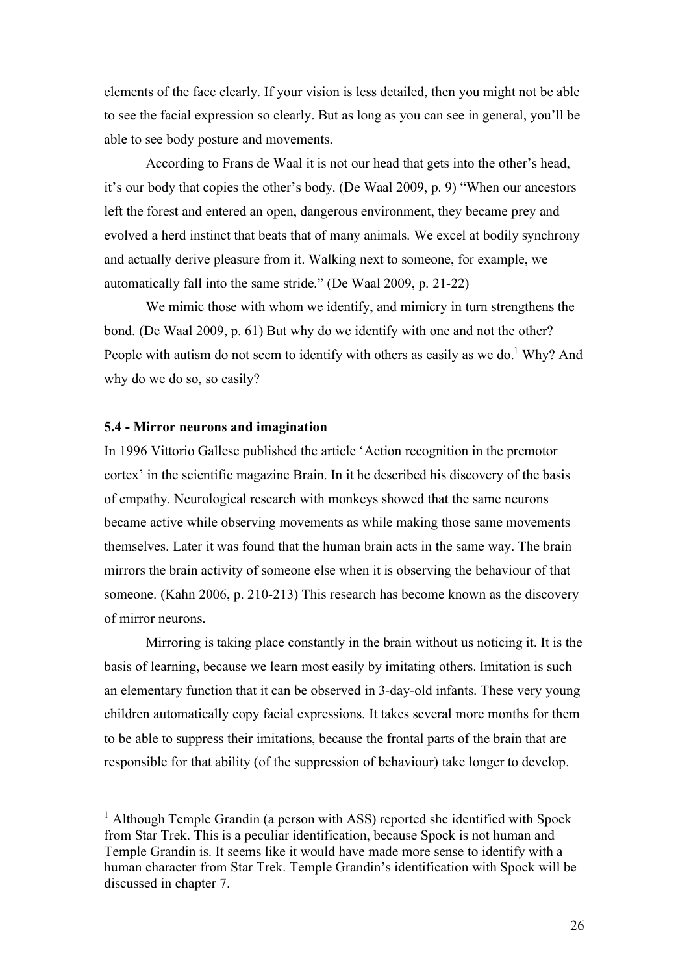elements of the face clearly. If your vision is less detailed, then you might not be able to see the facial expression so clearly. But as long as you can see in general, you'll be able to see body posture and movements.

According to Frans de Waal it is not our head that gets into the other's head, it's our body that copies the other's body. (De Waal 2009, p. 9) "When our ancestors left the forest and entered an open, dangerous environment, they became prey and evolved a herd instinct that beats that of many animals. We excel at bodily synchrony and actually derive pleasure from it. Walking next to someone, for example, we automatically fall into the same stride." (De Waal 2009, p. 21-22)

We mimic those with whom we identify, and mimicry in turn strengthens the bond. (De Waal 2009, p. 61) But why do we identify with one and not the other? People with autism do not seem to identify with others as easily as we do.<sup>1</sup> Why? And why do we do so, so easily?

## **5.4 - Mirror neurons and imagination**

In 1996 Vittorio Gallese published the article 'Action recognition in the premotor cortex' in the scientific magazine Brain. In it he described his discovery of the basis of empathy. Neurological research with monkeys showed that the same neurons became active while observing movements as while making those same movements themselves. Later it was found that the human brain acts in the same way. The brain mirrors the brain activity of someone else when it is observing the behaviour of that someone. (Kahn 2006, p. 210-213) This research has become known as the discovery of mirror neurons.

Mirroring is taking place constantly in the brain without us noticing it. It is the basis of learning, because we learn most easily by imitating others. Imitation is such an elementary function that it can be observed in 3-day-old infants. These very young children automatically copy facial expressions. It takes several more months for them to be able to suppress their imitations, because the frontal parts of the brain that are responsible for that ability (of the suppression of behaviour) take longer to develop.

<sup>&</sup>lt;sup>1</sup> Although Temple Grandin (a person with ASS) reported she identified with Spock from Star Trek. This is a peculiar identification, because Spock is not human and Temple Grandin is. It seems like it would have made more sense to identify with a human character from Star Trek. Temple Grandin's identification with Spock will be discussed in chapter 7.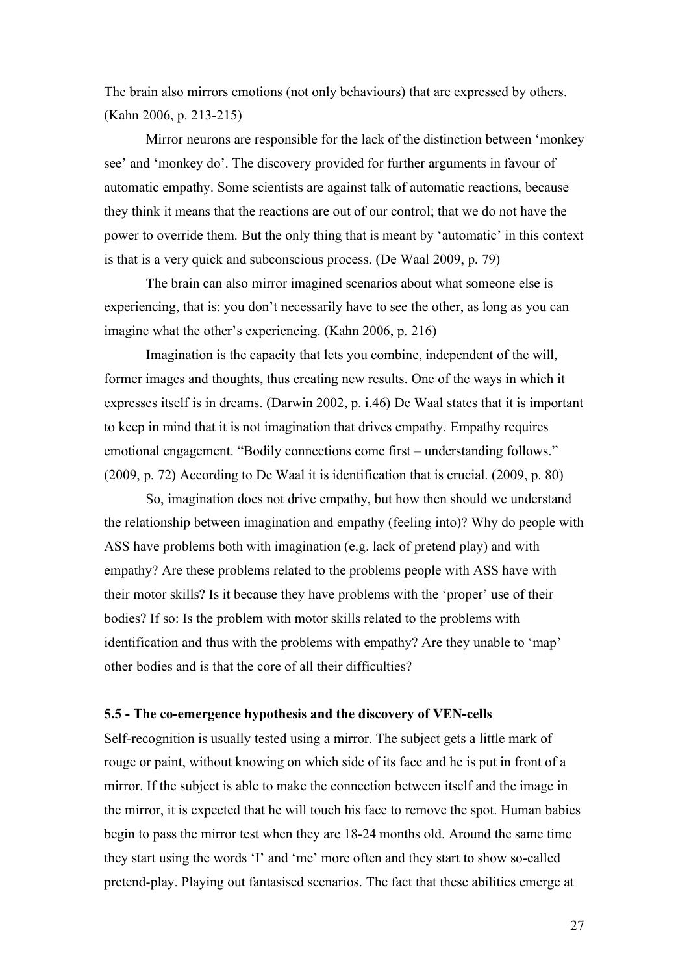The brain also mirrors emotions (not only behaviours) that are expressed by others. (Kahn 2006, p. 213-215)

Mirror neurons are responsible for the lack of the distinction between 'monkey see' and 'monkey do'. The discovery provided for further arguments in favour of automatic empathy. Some scientists are against talk of automatic reactions, because they think it means that the reactions are out of our control; that we do not have the power to override them. But the only thing that is meant by 'automatic' in this context is that is a very quick and subconscious process. (De Waal 2009, p. 79)

The brain can also mirror imagined scenarios about what someone else is experiencing, that is: you don't necessarily have to see the other, as long as you can imagine what the other's experiencing. (Kahn 2006, p. 216)

Imagination is the capacity that lets you combine, independent of the will, former images and thoughts, thus creating new results. One of the ways in which it expresses itself is in dreams. (Darwin 2002, p. i.46) De Waal states that it is important to keep in mind that it is not imagination that drives empathy. Empathy requires emotional engagement. "Bodily connections come first – understanding follows." (2009, p. 72) According to De Waal it is identification that is crucial. (2009, p. 80)

So, imagination does not drive empathy, but how then should we understand the relationship between imagination and empathy (feeling into)? Why do people with ASS have problems both with imagination (e.g. lack of pretend play) and with empathy? Are these problems related to the problems people with ASS have with their motor skills? Is it because they have problems with the 'proper' use of their bodies? If so: Is the problem with motor skills related to the problems with identification and thus with the problems with empathy? Are they unable to 'map' other bodies and is that the core of all their difficulties?

#### **5.5 - The co-emergence hypothesis and the discovery of VEN-cells**

Self-recognition is usually tested using a mirror. The subject gets a little mark of rouge or paint, without knowing on which side of its face and he is put in front of a mirror. If the subject is able to make the connection between itself and the image in the mirror, it is expected that he will touch his face to remove the spot. Human babies begin to pass the mirror test when they are 18-24 months old. Around the same time they start using the words 'I' and 'me' more often and they start to show so-called pretend-play. Playing out fantasised scenarios. The fact that these abilities emerge at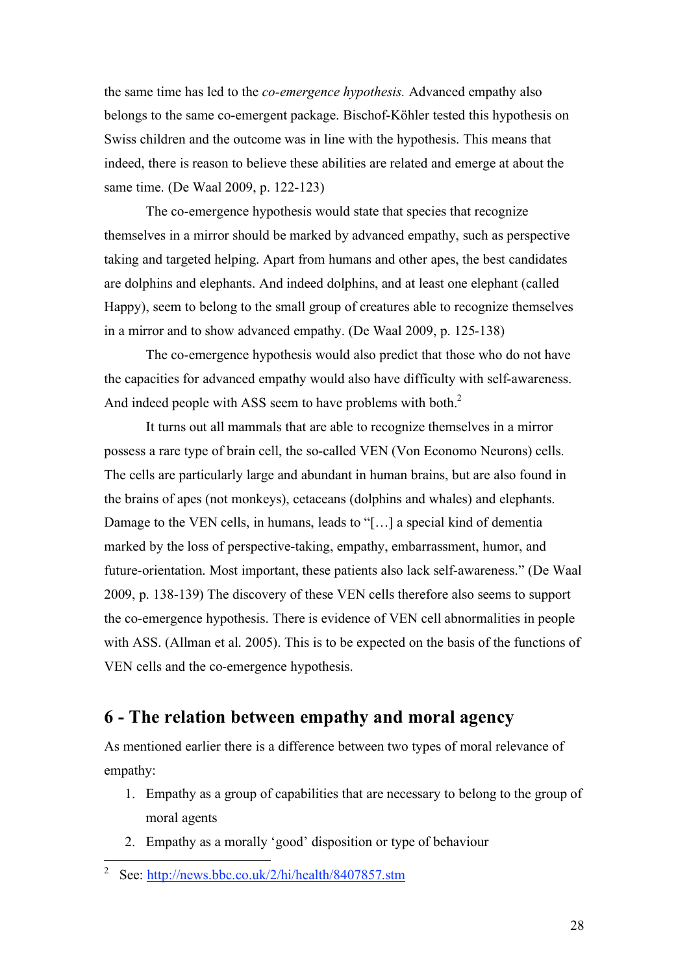the same time has led to the *co-emergence hypothesis.* Advanced empathy also belongs to the same co-emergent package. Bischof-Köhler tested this hypothesis on Swiss children and the outcome was in line with the hypothesis. This means that indeed, there is reason to believe these abilities are related and emerge at about the same time. (De Waal 2009, p. 122-123)

The co-emergence hypothesis would state that species that recognize themselves in a mirror should be marked by advanced empathy, such as perspective taking and targeted helping. Apart from humans and other apes, the best candidates are dolphins and elephants. And indeed dolphins, and at least one elephant (called Happy), seem to belong to the small group of creatures able to recognize themselves in a mirror and to show advanced empathy. (De Waal 2009, p. 125-138)

The co-emergence hypothesis would also predict that those who do not have the capacities for advanced empathy would also have difficulty with self-awareness. And indeed people with ASS seem to have problems with both.<sup>2</sup>

It turns out all mammals that are able to recognize themselves in a mirror possess a rare type of brain cell, the so-called VEN (Von Economo Neurons) cells. The cells are particularly large and abundant in human brains, but are also found in the brains of apes (not monkeys), cetaceans (dolphins and whales) and elephants. Damage to the VEN cells, in humans, leads to "[…] a special kind of dementia marked by the loss of perspective-taking, empathy, embarrassment, humor, and future-orientation. Most important, these patients also lack self-awareness." (De Waal 2009, p. 138-139) The discovery of these VEN cells therefore also seems to support the co-emergence hypothesis. There is evidence of VEN cell abnormalities in people with ASS. (Allman et al. 2005). This is to be expected on the basis of the functions of VEN cells and the co-emergence hypothesis.

# **6 - The relation between empathy and moral agency**

As mentioned earlier there is a difference between two types of moral relevance of empathy:

- 1. Empathy as a group of capabilities that are necessary to belong to the group of moral agents
- 2. Empathy as a morally 'good' disposition or type of behaviour

<sup>2&</sup>lt;br>
See: http://news.bbc.co.uk/2/hi/health/8407857.stm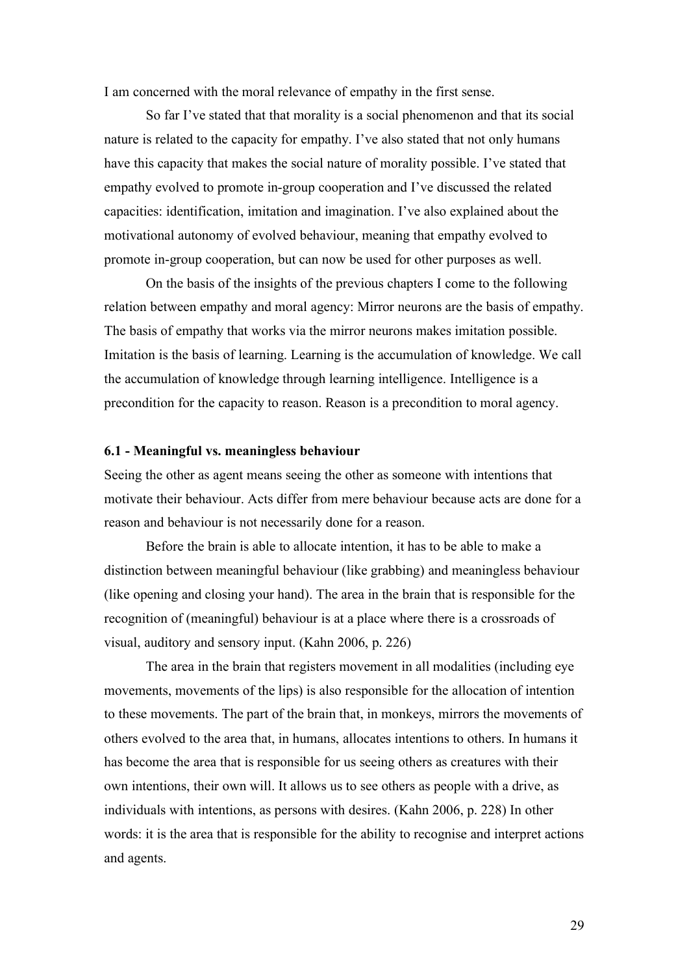I am concerned with the moral relevance of empathy in the first sense.

So far I've stated that that morality is a social phenomenon and that its social nature is related to the capacity for empathy. I've also stated that not only humans have this capacity that makes the social nature of morality possible. I've stated that empathy evolved to promote in-group cooperation and I've discussed the related capacities: identification, imitation and imagination. I've also explained about the motivational autonomy of evolved behaviour, meaning that empathy evolved to promote in-group cooperation, but can now be used for other purposes as well.

On the basis of the insights of the previous chapters I come to the following relation between empathy and moral agency: Mirror neurons are the basis of empathy. The basis of empathy that works via the mirror neurons makes imitation possible. Imitation is the basis of learning. Learning is the accumulation of knowledge. We call the accumulation of knowledge through learning intelligence. Intelligence is a precondition for the capacity to reason. Reason is a precondition to moral agency.

#### **6.1 - Meaningful vs. meaningless behaviour**

Seeing the other as agent means seeing the other as someone with intentions that motivate their behaviour. Acts differ from mere behaviour because acts are done for a reason and behaviour is not necessarily done for a reason.

Before the brain is able to allocate intention, it has to be able to make a distinction between meaningful behaviour (like grabbing) and meaningless behaviour (like opening and closing your hand). The area in the brain that is responsible for the recognition of (meaningful) behaviour is at a place where there is a crossroads of visual, auditory and sensory input. (Kahn 2006, p. 226)

The area in the brain that registers movement in all modalities (including eye movements, movements of the lips) is also responsible for the allocation of intention to these movements. The part of the brain that, in monkeys, mirrors the movements of others evolved to the area that, in humans, allocates intentions to others. In humans it has become the area that is responsible for us seeing others as creatures with their own intentions, their own will. It allows us to see others as people with a drive, as individuals with intentions, as persons with desires. (Kahn 2006, p. 228) In other words: it is the area that is responsible for the ability to recognise and interpret actions and agents.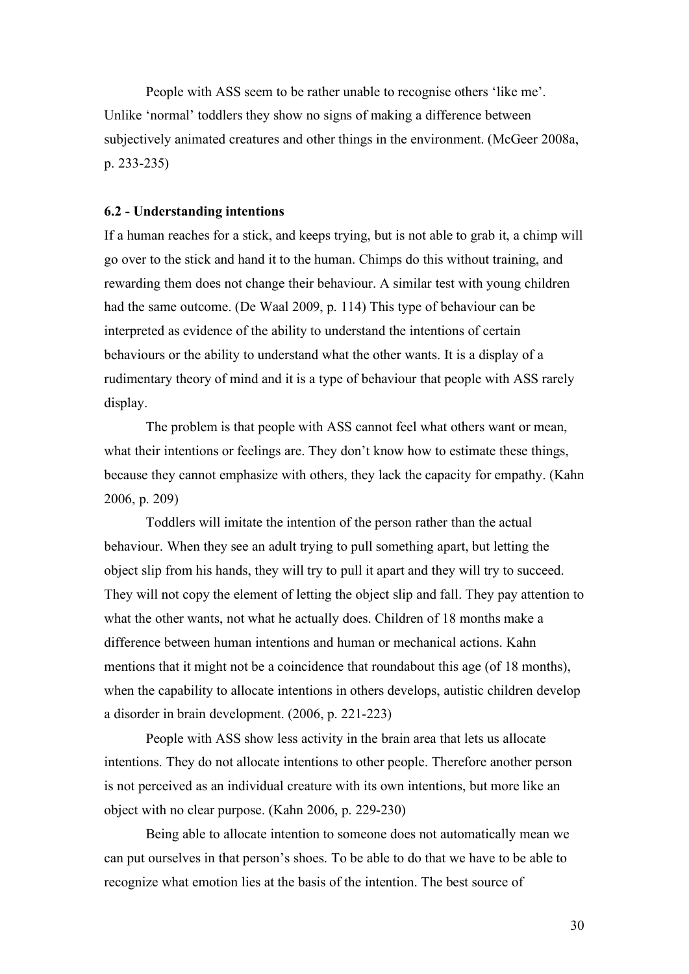People with ASS seem to be rather unable to recognise others 'like me'. Unlike 'normal' toddlers they show no signs of making a difference between subjectively animated creatures and other things in the environment. (McGeer 2008a, p. 233-235)

#### **6.2 - Understanding intentions**

If a human reaches for a stick, and keeps trying, but is not able to grab it, a chimp will go over to the stick and hand it to the human. Chimps do this without training, and rewarding them does not change their behaviour. A similar test with young children had the same outcome. (De Waal 2009, p. 114) This type of behaviour can be interpreted as evidence of the ability to understand the intentions of certain behaviours or the ability to understand what the other wants. It is a display of a rudimentary theory of mind and it is a type of behaviour that people with ASS rarely display.

The problem is that people with ASS cannot feel what others want or mean, what their intentions or feelings are. They don't know how to estimate these things, because they cannot emphasize with others, they lack the capacity for empathy. (Kahn 2006, p. 209)

Toddlers will imitate the intention of the person rather than the actual behaviour. When they see an adult trying to pull something apart, but letting the object slip from his hands, they will try to pull it apart and they will try to succeed. They will not copy the element of letting the object slip and fall. They pay attention to what the other wants, not what he actually does. Children of 18 months make a difference between human intentions and human or mechanical actions. Kahn mentions that it might not be a coincidence that roundabout this age (of 18 months), when the capability to allocate intentions in others develops, autistic children develop a disorder in brain development. (2006, p. 221-223)

People with ASS show less activity in the brain area that lets us allocate intentions. They do not allocate intentions to other people. Therefore another person is not perceived as an individual creature with its own intentions, but more like an object with no clear purpose. (Kahn 2006, p. 229-230)

Being able to allocate intention to someone does not automatically mean we can put ourselves in that person's shoes. To be able to do that we have to be able to recognize what emotion lies at the basis of the intention. The best source of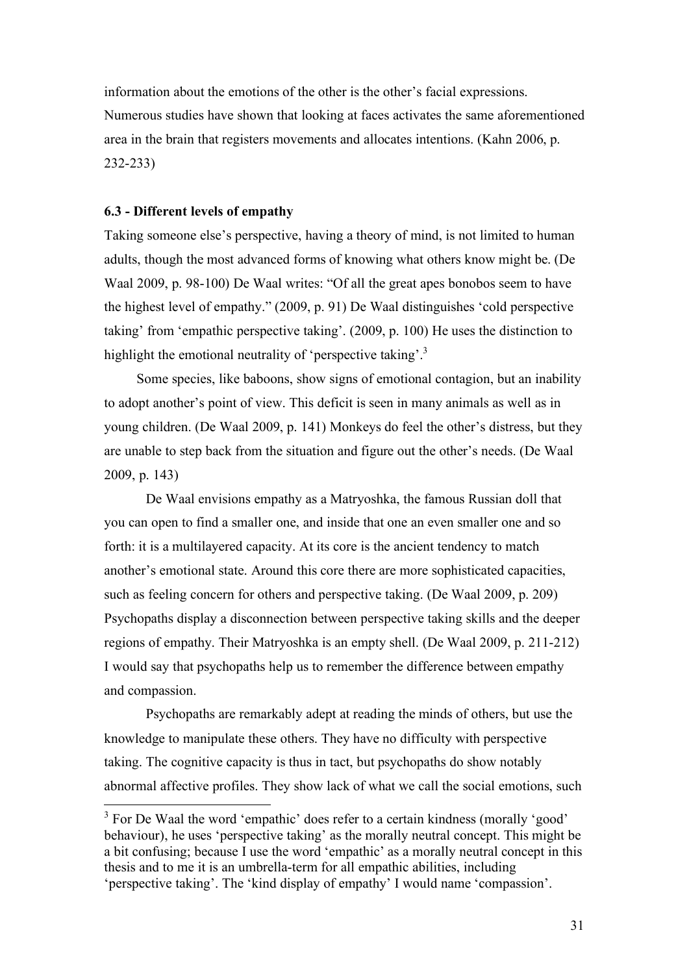information about the emotions of the other is the other's facial expressions. Numerous studies have shown that looking at faces activates the same aforementioned area in the brain that registers movements and allocates intentions. (Kahn 2006, p. 232-233)

### **6.3 - Different levels of empathy**

Taking someone else's perspective, having a theory of mind, is not limited to human adults, though the most advanced forms of knowing what others know might be. (De Waal 2009, p. 98-100) De Waal writes: "Of all the great apes bonobos seem to have the highest level of empathy." (2009, p. 91) De Waal distinguishes 'cold perspective taking' from 'empathic perspective taking'. (2009, p. 100) He uses the distinction to highlight the emotional neutrality of 'perspective taking'.<sup>3</sup>

Some species, like baboons, show signs of emotional contagion, but an inability to adopt another's point of view. This deficit is seen in many animals as well as in young children. (De Waal 2009, p. 141) Monkeys do feel the other's distress, but they are unable to step back from the situation and figure out the other's needs. (De Waal 2009, p. 143)

De Waal envisions empathy as a Matryoshka, the famous Russian doll that you can open to find a smaller one, and inside that one an even smaller one and so forth: it is a multilayered capacity. At its core is the ancient tendency to match another's emotional state. Around this core there are more sophisticated capacities, such as feeling concern for others and perspective taking. (De Waal 2009, p. 209) Psychopaths display a disconnection between perspective taking skills and the deeper regions of empathy. Their Matryoshka is an empty shell. (De Waal 2009, p. 211-212) I would say that psychopaths help us to remember the difference between empathy and compassion.

Psychopaths are remarkably adept at reading the minds of others, but use the knowledge to manipulate these others. They have no difficulty with perspective taking. The cognitive capacity is thus in tact, but psychopaths do show notably abnormal affective profiles. They show lack of what we call the social emotions, such

<sup>&</sup>lt;sup>3</sup> For De Waal the word 'empathic' does refer to a certain kindness (morally 'good' behaviour), he uses 'perspective taking' as the morally neutral concept. This might be a bit confusing; because I use the word 'empathic' as a morally neutral concept in this thesis and to me it is an umbrella-term for all empathic abilities, including 'perspective taking'. The 'kind display of empathy' I would name 'compassion'.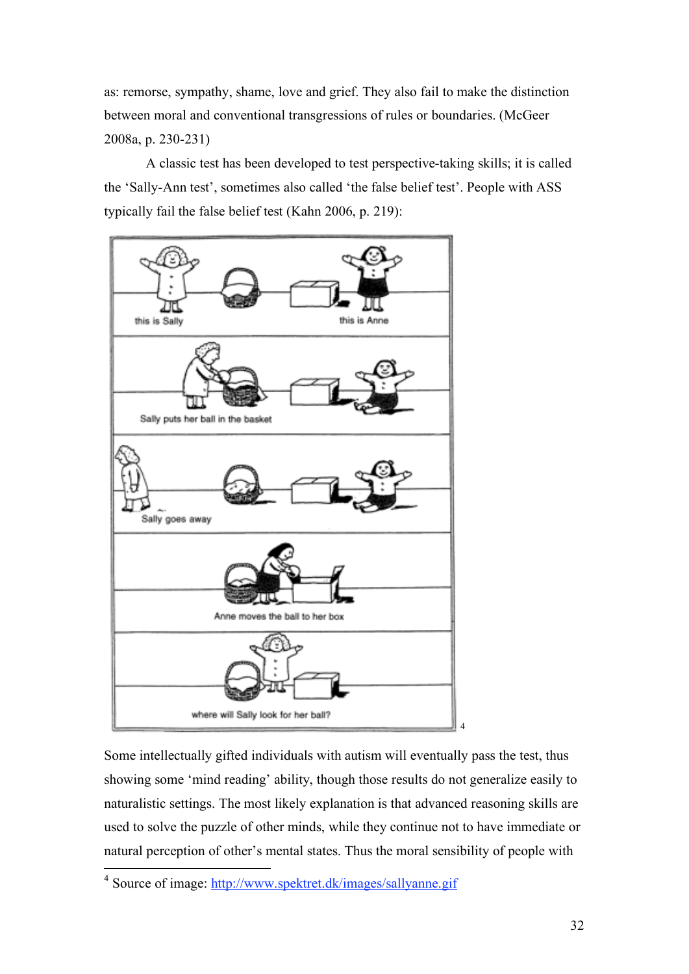as: remorse, sympathy, shame, love and grief. They also fail to make the distinction between moral and conventional transgressions of rules or boundaries. (McGeer 2008a, p. 230-231)

A classic test has been developed to test perspective-taking skills; it is called the 'Sally-Ann test', sometimes also called 'the false belief test'. People with ASS typically fail the false belief test (Kahn 2006, p. 219):



Some intellectually gifted individuals with autism will eventually pass the test, thus showing some 'mind reading' ability, though those results do not generalize easily to naturalistic settings. The most likely explanation is that advanced reasoning skills are used to solve the puzzle of other minds, while they continue not to have immediate or natural perception of other's mental states. Thus the moral sensibility of people with

<sup>4&</sup>lt;br><sup>4</sup> Source of image: http://www.spektret.dk/images/sallyanne.gif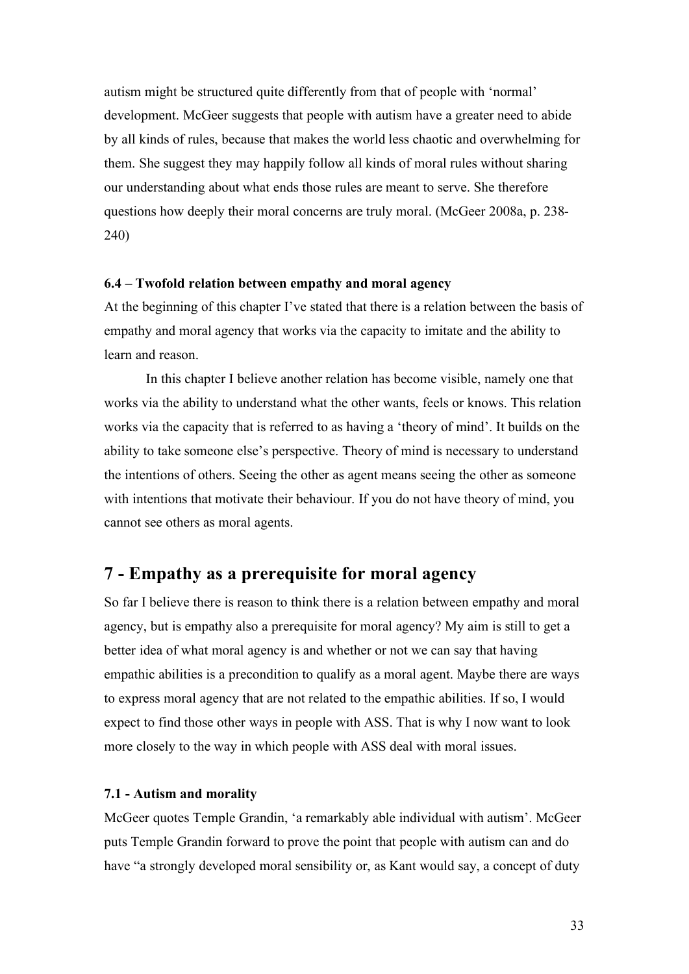autism might be structured quite differently from that of people with 'normal' development. McGeer suggests that people with autism have a greater need to abide by all kinds of rules, because that makes the world less chaotic and overwhelming for them. She suggest they may happily follow all kinds of moral rules without sharing our understanding about what ends those rules are meant to serve. She therefore questions how deeply their moral concerns are truly moral. (McGeer 2008a, p. 238- 240)

### **6.4 – Twofold relation between empathy and moral agency**

At the beginning of this chapter I've stated that there is a relation between the basis of empathy and moral agency that works via the capacity to imitate and the ability to learn and reason.

In this chapter I believe another relation has become visible, namely one that works via the ability to understand what the other wants, feels or knows. This relation works via the capacity that is referred to as having a 'theory of mind'. It builds on the ability to take someone else's perspective. Theory of mind is necessary to understand the intentions of others. Seeing the other as agent means seeing the other as someone with intentions that motivate their behaviour. If you do not have theory of mind, you cannot see others as moral agents.

## **7 - Empathy as a prerequisite for moral agency**

So far I believe there is reason to think there is a relation between empathy and moral agency, but is empathy also a prerequisite for moral agency? My aim is still to get a better idea of what moral agency is and whether or not we can say that having empathic abilities is a precondition to qualify as a moral agent. Maybe there are ways to express moral agency that are not related to the empathic abilities. If so, I would expect to find those other ways in people with ASS. That is why I now want to look more closely to the way in which people with ASS deal with moral issues.

### **7.1 - Autism and morality**

McGeer quotes Temple Grandin, 'a remarkably able individual with autism'. McGeer puts Temple Grandin forward to prove the point that people with autism can and do have "a strongly developed moral sensibility or, as Kant would say, a concept of duty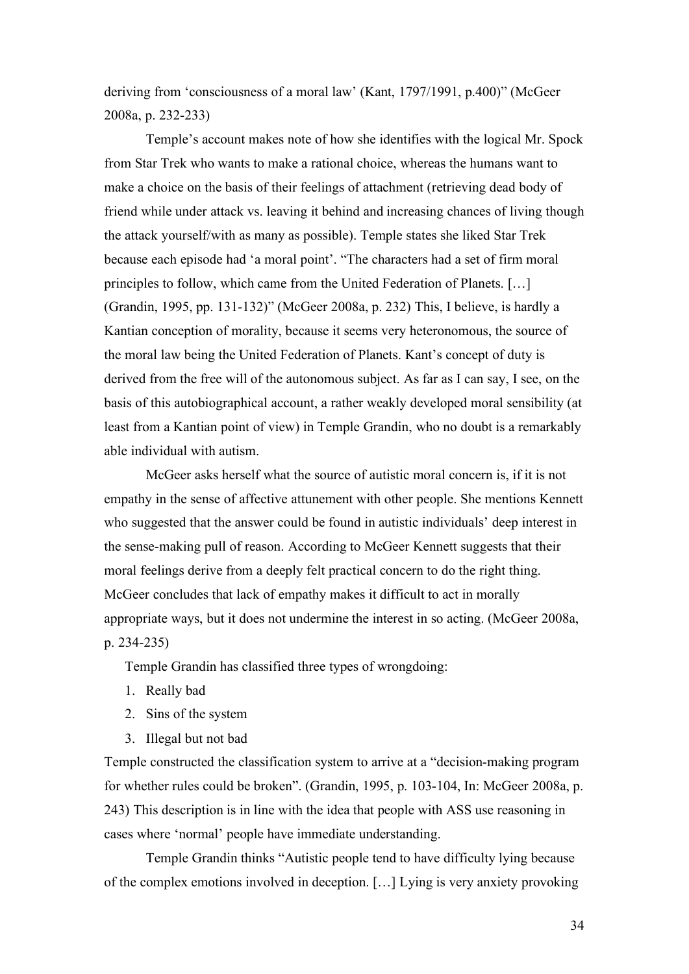deriving from 'consciousness of a moral law' (Kant, 1797/1991, p.400)" (McGeer 2008a, p. 232-233)

Temple's account makes note of how she identifies with the logical Mr. Spock from Star Trek who wants to make a rational choice, whereas the humans want to make a choice on the basis of their feelings of attachment (retrieving dead body of friend while under attack vs. leaving it behind and increasing chances of living though the attack yourself/with as many as possible). Temple states she liked Star Trek because each episode had 'a moral point'. "The characters had a set of firm moral principles to follow, which came from the United Federation of Planets. […] (Grandin, 1995, pp. 131-132)" (McGeer 2008a, p. 232) This, I believe, is hardly a Kantian conception of morality, because it seems very heteronomous, the source of the moral law being the United Federation of Planets. Kant's concept of duty is derived from the free will of the autonomous subject. As far as I can say, I see, on the basis of this autobiographical account, a rather weakly developed moral sensibility (at least from a Kantian point of view) in Temple Grandin, who no doubt is a remarkably able individual with autism.

McGeer asks herself what the source of autistic moral concern is, if it is not empathy in the sense of affective attunement with other people. She mentions Kennett who suggested that the answer could be found in autistic individuals' deep interest in the sense-making pull of reason. According to McGeer Kennett suggests that their moral feelings derive from a deeply felt practical concern to do the right thing. McGeer concludes that lack of empathy makes it difficult to act in morally appropriate ways, but it does not undermine the interest in so acting. (McGeer 2008a, p. 234-235)

Temple Grandin has classified three types of wrongdoing:

- 1. Really bad
- 2. Sins of the system
- 3. Illegal but not bad

Temple constructed the classification system to arrive at a "decision-making program for whether rules could be broken". (Grandin, 1995, p. 103-104, In: McGeer 2008a, p. 243) This description is in line with the idea that people with ASS use reasoning in cases where 'normal' people have immediate understanding.

Temple Grandin thinks "Autistic people tend to have difficulty lying because of the complex emotions involved in deception. […] Lying is very anxiety provoking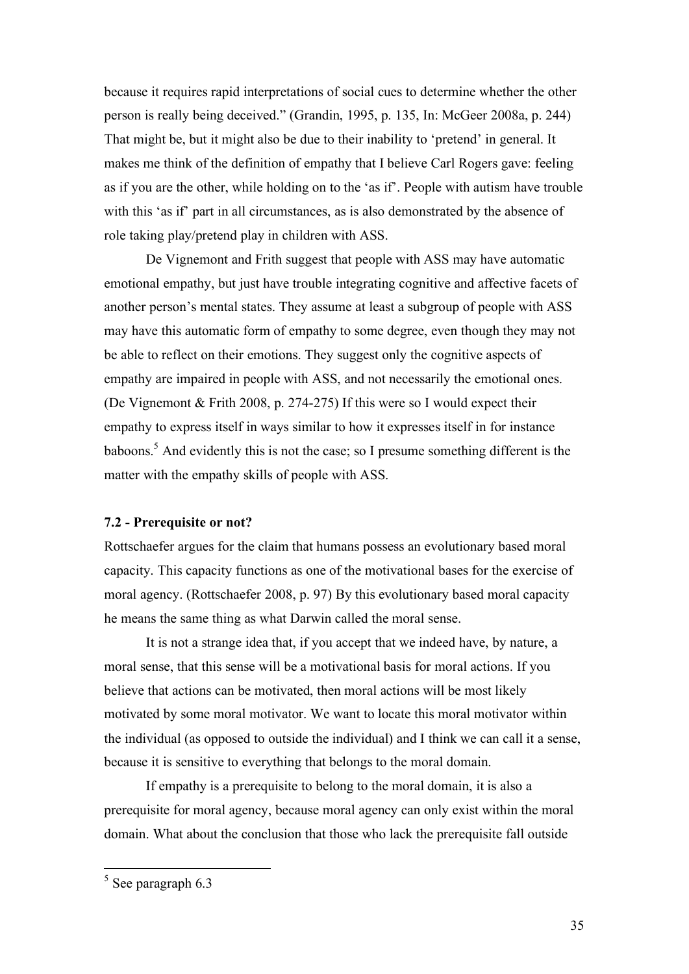because it requires rapid interpretations of social cues to determine whether the other person is really being deceived." (Grandin, 1995, p. 135, In: McGeer 2008a, p. 244) That might be, but it might also be due to their inability to 'pretend' in general. It makes me think of the definition of empathy that I believe Carl Rogers gave: feeling as if you are the other, while holding on to the 'as if'. People with autism have trouble with this 'as if' part in all circumstances, as is also demonstrated by the absence of role taking play/pretend play in children with ASS.

De Vignemont and Frith suggest that people with ASS may have automatic emotional empathy, but just have trouble integrating cognitive and affective facets of another person's mental states. They assume at least a subgroup of people with ASS may have this automatic form of empathy to some degree, even though they may not be able to reflect on their emotions. They suggest only the cognitive aspects of empathy are impaired in people with ASS, and not necessarily the emotional ones. (De Vignemont & Frith 2008, p. 274-275) If this were so I would expect their empathy to express itself in ways similar to how it expresses itself in for instance baboons.<sup>5</sup> And evidently this is not the case; so I presume something different is the matter with the empathy skills of people with ASS.

### **7.2 - Prerequisite or not?**

Rottschaefer argues for the claim that humans possess an evolutionary based moral capacity. This capacity functions as one of the motivational bases for the exercise of moral agency. (Rottschaefer 2008, p. 97) By this evolutionary based moral capacity he means the same thing as what Darwin called the moral sense.

It is not a strange idea that, if you accept that we indeed have, by nature, a moral sense, that this sense will be a motivational basis for moral actions. If you believe that actions can be motivated, then moral actions will be most likely motivated by some moral motivator. We want to locate this moral motivator within the individual (as opposed to outside the individual) and I think we can call it a sense, because it is sensitive to everything that belongs to the moral domain.

If empathy is a prerequisite to belong to the moral domain, it is also a prerequisite for moral agency, because moral agency can only exist within the moral domain. What about the conclusion that those who lack the prerequisite fall outside

<sup>&</sup>lt;sup>5</sup> See paragraph 6.3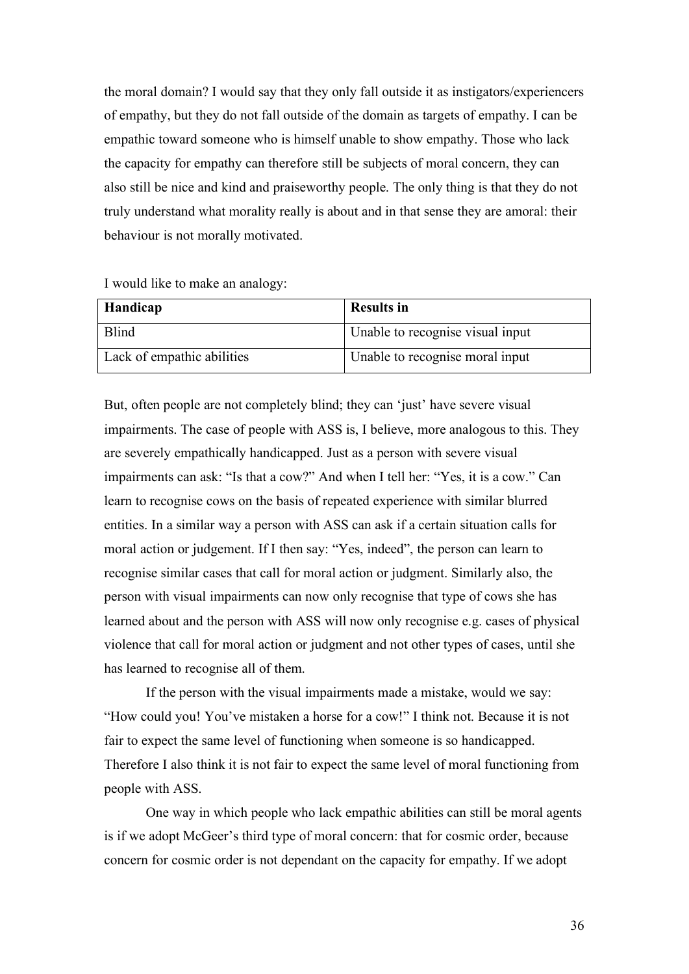the moral domain? I would say that they only fall outside it as instigators/experiencers of empathy, but they do not fall outside of the domain as targets of empathy. I can be empathic toward someone who is himself unable to show empathy. Those who lack the capacity for empathy can therefore still be subjects of moral concern, they can also still be nice and kind and praiseworthy people. The only thing is that they do not truly understand what morality really is about and in that sense they are amoral: their behaviour is not morally motivated.

| I would like to make an analogy: |
|----------------------------------|
|----------------------------------|

| <b>Handicap</b>            | <b>Results in</b>                |
|----------------------------|----------------------------------|
| <b>Blind</b>               | Unable to recognise visual input |
| Lack of empathic abilities | Unable to recognise moral input  |

But, often people are not completely blind; they can 'just' have severe visual impairments. The case of people with ASS is, I believe, more analogous to this. They are severely empathically handicapped. Just as a person with severe visual impairments can ask: "Is that a cow?" And when I tell her: "Yes, it is a cow." Can learn to recognise cows on the basis of repeated experience with similar blurred entities. In a similar way a person with ASS can ask if a certain situation calls for moral action or judgement. If I then say: "Yes, indeed", the person can learn to recognise similar cases that call for moral action or judgment. Similarly also, the person with visual impairments can now only recognise that type of cows she has learned about and the person with ASS will now only recognise e.g. cases of physical violence that call for moral action or judgment and not other types of cases, until she has learned to recognise all of them.

If the person with the visual impairments made a mistake, would we say: "How could you! You've mistaken a horse for a cow!" I think not. Because it is not fair to expect the same level of functioning when someone is so handicapped. Therefore I also think it is not fair to expect the same level of moral functioning from people with ASS.

One way in which people who lack empathic abilities can still be moral agents is if we adopt McGeer's third type of moral concern: that for cosmic order, because concern for cosmic order is not dependant on the capacity for empathy. If we adopt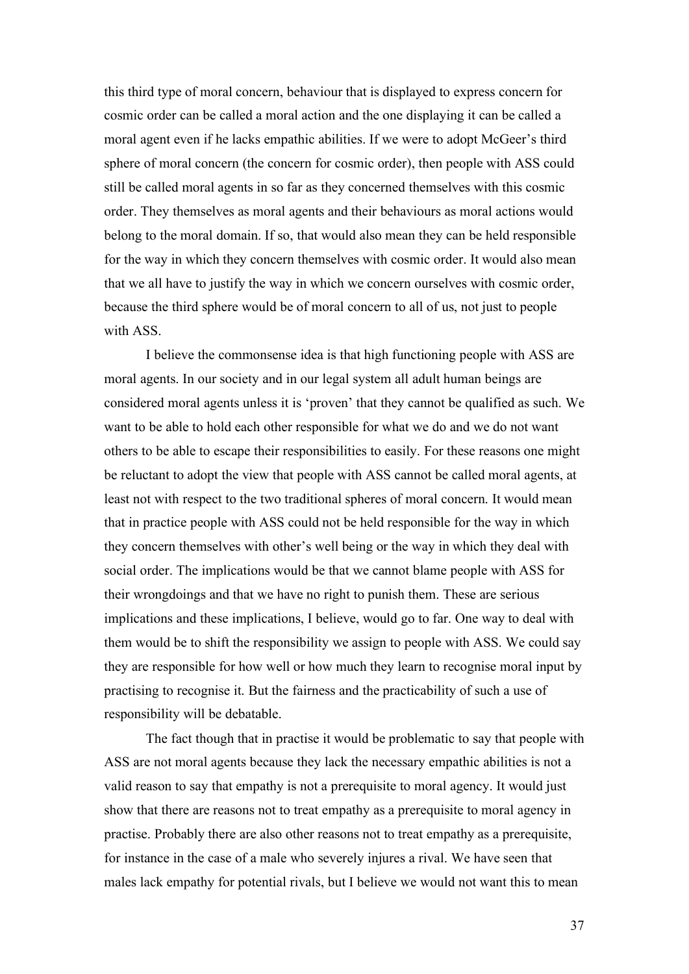this third type of moral concern, behaviour that is displayed to express concern for cosmic order can be called a moral action and the one displaying it can be called a moral agent even if he lacks empathic abilities. If we were to adopt McGeer's third sphere of moral concern (the concern for cosmic order), then people with ASS could still be called moral agents in so far as they concerned themselves with this cosmic order. They themselves as moral agents and their behaviours as moral actions would belong to the moral domain. If so, that would also mean they can be held responsible for the way in which they concern themselves with cosmic order. It would also mean that we all have to justify the way in which we concern ourselves with cosmic order, because the third sphere would be of moral concern to all of us, not just to people with ASS.

I believe the commonsense idea is that high functioning people with ASS are moral agents. In our society and in our legal system all adult human beings are considered moral agents unless it is 'proven' that they cannot be qualified as such. We want to be able to hold each other responsible for what we do and we do not want others to be able to escape their responsibilities to easily. For these reasons one might be reluctant to adopt the view that people with ASS cannot be called moral agents, at least not with respect to the two traditional spheres of moral concern. It would mean that in practice people with ASS could not be held responsible for the way in which they concern themselves with other's well being or the way in which they deal with social order. The implications would be that we cannot blame people with ASS for their wrongdoings and that we have no right to punish them. These are serious implications and these implications, I believe, would go to far. One way to deal with them would be to shift the responsibility we assign to people with ASS. We could say they are responsible for how well or how much they learn to recognise moral input by practising to recognise it. But the fairness and the practicability of such a use of responsibility will be debatable.

The fact though that in practise it would be problematic to say that people with ASS are not moral agents because they lack the necessary empathic abilities is not a valid reason to say that empathy is not a prerequisite to moral agency. It would just show that there are reasons not to treat empathy as a prerequisite to moral agency in practise. Probably there are also other reasons not to treat empathy as a prerequisite, for instance in the case of a male who severely injures a rival. We have seen that males lack empathy for potential rivals, but I believe we would not want this to mean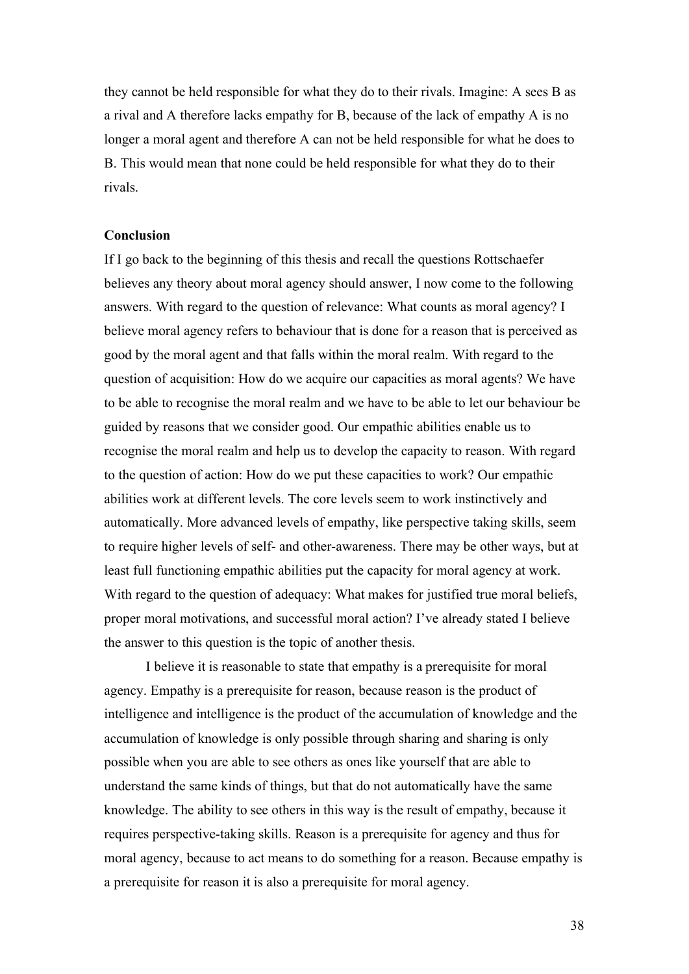they cannot be held responsible for what they do to their rivals. Imagine: A sees B as a rival and A therefore lacks empathy for B, because of the lack of empathy A is no longer a moral agent and therefore A can not be held responsible for what he does to B. This would mean that none could be held responsible for what they do to their rivals.

## **Conclusion**

If I go back to the beginning of this thesis and recall the questions Rottschaefer believes any theory about moral agency should answer, I now come to the following answers. With regard to the question of relevance: What counts as moral agency? I believe moral agency refers to behaviour that is done for a reason that is perceived as good by the moral agent and that falls within the moral realm. With regard to the question of acquisition: How do we acquire our capacities as moral agents? We have to be able to recognise the moral realm and we have to be able to let our behaviour be guided by reasons that we consider good. Our empathic abilities enable us to recognise the moral realm and help us to develop the capacity to reason. With regard to the question of action: How do we put these capacities to work? Our empathic abilities work at different levels. The core levels seem to work instinctively and automatically. More advanced levels of empathy, like perspective taking skills, seem to require higher levels of self- and other-awareness. There may be other ways, but at least full functioning empathic abilities put the capacity for moral agency at work. With regard to the question of adequacy: What makes for justified true moral beliefs, proper moral motivations, and successful moral action? I've already stated I believe the answer to this question is the topic of another thesis.

I believe it is reasonable to state that empathy is a prerequisite for moral agency. Empathy is a prerequisite for reason, because reason is the product of intelligence and intelligence is the product of the accumulation of knowledge and the accumulation of knowledge is only possible through sharing and sharing is only possible when you are able to see others as ones like yourself that are able to understand the same kinds of things, but that do not automatically have the same knowledge. The ability to see others in this way is the result of empathy, because it requires perspective-taking skills. Reason is a prerequisite for agency and thus for moral agency, because to act means to do something for a reason. Because empathy is a prerequisite for reason it is also a prerequisite for moral agency.

38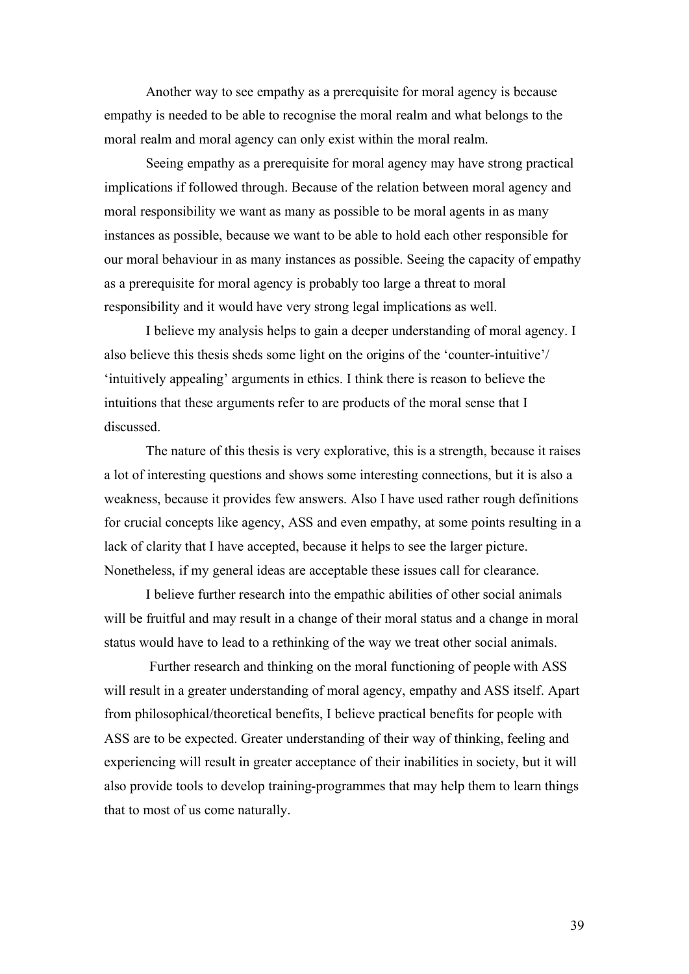Another way to see empathy as a prerequisite for moral agency is because empathy is needed to be able to recognise the moral realm and what belongs to the moral realm and moral agency can only exist within the moral realm.

Seeing empathy as a prerequisite for moral agency may have strong practical implications if followed through. Because of the relation between moral agency and moral responsibility we want as many as possible to be moral agents in as many instances as possible, because we want to be able to hold each other responsible for our moral behaviour in as many instances as possible. Seeing the capacity of empathy as a prerequisite for moral agency is probably too large a threat to moral responsibility and it would have very strong legal implications as well.

I believe my analysis helps to gain a deeper understanding of moral agency. I also believe this thesis sheds some light on the origins of the 'counter-intuitive'/ 'intuitively appealing' arguments in ethics. I think there is reason to believe the intuitions that these arguments refer to are products of the moral sense that I discussed.

The nature of this thesis is very explorative, this is a strength, because it raises a lot of interesting questions and shows some interesting connections, but it is also a weakness, because it provides few answers. Also I have used rather rough definitions for crucial concepts like agency, ASS and even empathy, at some points resulting in a lack of clarity that I have accepted, because it helps to see the larger picture. Nonetheless, if my general ideas are acceptable these issues call for clearance.

I believe further research into the empathic abilities of other social animals will be fruitful and may result in a change of their moral status and a change in moral status would have to lead to a rethinking of the way we treat other social animals.

 Further research and thinking on the moral functioning of people with ASS will result in a greater understanding of moral agency, empathy and ASS itself. Apart from philosophical/theoretical benefits, I believe practical benefits for people with ASS are to be expected. Greater understanding of their way of thinking, feeling and experiencing will result in greater acceptance of their inabilities in society, but it will also provide tools to develop training-programmes that may help them to learn things that to most of us come naturally.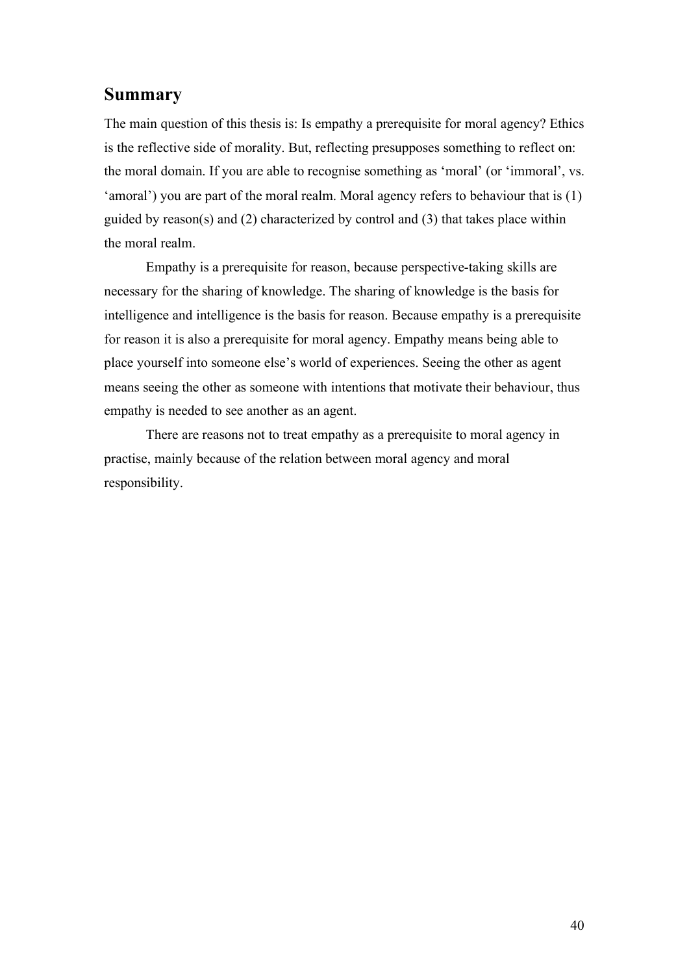## **Summary**

The main question of this thesis is: Is empathy a prerequisite for moral agency? Ethics is the reflective side of morality. But, reflecting presupposes something to reflect on: the moral domain. If you are able to recognise something as 'moral' (or 'immoral', vs. 'amoral') you are part of the moral realm. Moral agency refers to behaviour that is (1) guided by reason(s) and (2) characterized by control and (3) that takes place within the moral realm.

Empathy is a prerequisite for reason, because perspective-taking skills are necessary for the sharing of knowledge. The sharing of knowledge is the basis for intelligence and intelligence is the basis for reason. Because empathy is a prerequisite for reason it is also a prerequisite for moral agency. Empathy means being able to place yourself into someone else's world of experiences. Seeing the other as agent means seeing the other as someone with intentions that motivate their behaviour, thus empathy is needed to see another as an agent.

There are reasons not to treat empathy as a prerequisite to moral agency in practise, mainly because of the relation between moral agency and moral responsibility.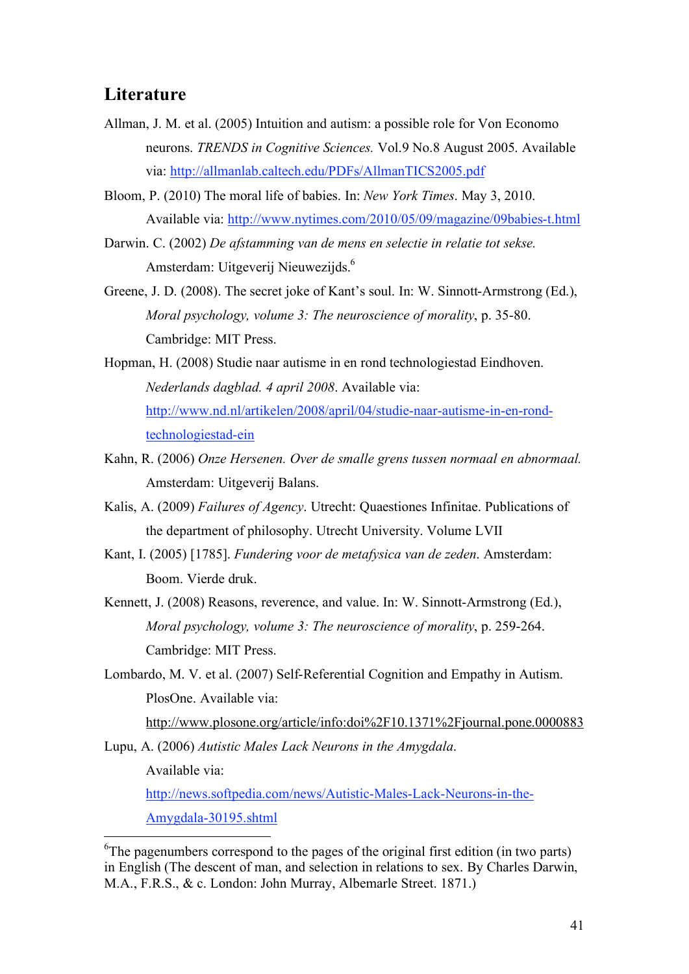## **Literature**

- Allman, J. M. et al. (2005) Intuition and autism: a possible role for Von Economo neurons. *TRENDS in Cognitive Sciences.* Vol.9 No.8 August 2005. Available via: http://allmanlab.caltech.edu/PDFs/AllmanTICS2005.pdf
- Bloom, P. (2010) The moral life of babies. In: *New York Times*. May 3, 2010. Available via: http://www.nytimes.com/2010/05/09/magazine/09babies-t.html
- Darwin. C. (2002) *De afstamming van de mens en selectie in relatie tot sekse.*  Amsterdam: Uitgeverij Nieuwezijds.6
- Greene, J. D. (2008). The secret joke of Kant's soul. In: W. Sinnott-Armstrong (Ed.), *Moral psychology, volume 3: The neuroscience of morality*, p. 35-80. Cambridge: MIT Press.
- Hopman, H. (2008) Studie naar autisme in en rond technologiestad Eindhoven. *Nederlands dagblad. 4 april 2008*. Available via: http://www.nd.nl/artikelen/2008/april/04/studie-naar-autisme-in-en-rondtechnologiestad-ein
- Kahn, R. (2006) *Onze Hersenen. Over de smalle grens tussen normaal en abnormaal.*  Amsterdam: Uitgeverij Balans.
- Kalis, A. (2009) *Failures of Agency*. Utrecht: Quaestiones Infinitae. Publications of the department of philosophy. Utrecht University. Volume LVII
- Kant, I. (2005) [1785]. *Fundering voor de metafysica van de zeden*. Amsterdam: Boom. Vierde druk.
- Kennett, J. (2008) Reasons, reverence, and value. In: W. Sinnott-Armstrong (Ed.), *Moral psychology, volume 3: The neuroscience of morality*, p. 259-264. Cambridge: MIT Press.
- Lombardo, M. V. et al. (2007) Self-Referential Cognition and Empathy in Autism. PlosOne. Available via:

http://www.plosone.org/article/info:doi%2F10.1371%2Fjournal.pone.0000883

Lupu, A. (2006) *Autistic Males Lack Neurons in the Amygdala*.

Available via:

http://news.softpedia.com/news/Autistic-Males-Lack-Neurons-in-the-Amygdala-30195.shtml

<sup>&</sup>lt;sup>6</sup>The pagenumbers correspond to the pages of the original first edition (in two parts) in English (The descent of man, and selection in relations to sex. By Charles Darwin, M.A., F.R.S., & c. London: John Murray, Albemarle Street. 1871.)